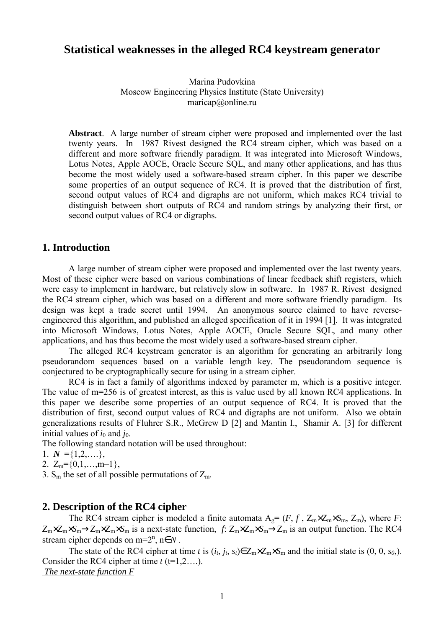# **Statistical weaknesses in the alleged RC4 keystream generator**

Marina Pudovkina Moscow Engineering Physics Institute (State University) maricap@online.ru

**Abstract**. A large number of stream cipher were proposed and implemented over the last twenty years. In 1987 Rivest designed the RC4 stream cipher, which was based on a different and more software friendly paradigm. It was integrated into Microsoft Windows, Lotus Notes, Apple AOCE, Oracle Secure SQL, and many other applications, and has thus become the most widely used a software-based stream cipher. In this paper we describe some properties of an output sequence of RC4. It is proved that the distribution of first, second output values of RC4 and digraphs are not uniform, which makes RC4 trivial to distinguish between short outputs of RC4 and random strings by analyzing their first, or second output values of RC4 or digraphs.

### **1. Introduction**

A large number of stream cipher were proposed and implemented over the last twenty years. Most of these cipher were based on various combinations of linear feedback shift registers, which were easy to implement in hardware, but relatively slow in software. In 1987 R. Rivest designed the RC4 stream cipher, which was based on a different and more software friendly paradigm. Its design was kept a trade secret until 1994. An anonymous source claimed to have reverseengineered this algorithm, and published an alleged specification of it in 1994 [1]. It was integrated into Microsoft Windows, Lotus Notes, Apple AOCE, Oracle Secure SQL, and many other applications, and has thus become the most widely used a software-based stream cipher.

The alleged RC4 keystream generator is an algorithm for generating an arbitrarily long pseudorandom sequences based on a variable length key. The pseudorandom sequence is conjectured to be cryptographically secure for using in a stream cipher.

RC4 is in fact a family of algorithms indexed by parameter m, which is a positive integer. The value of m=256 is of greatest interest, as this is value used by all known RC4 applications. In this paper we describe some properties of an output sequence of RC4. It is proved that the distribution of first, second output values of RC4 and digraphs are not uniform. Also we obtain generalizations results of Fluhrer S.R., McGrew D [2] and Mantin I., Shamir A. [3] for different initial values of  $i_0$  and  $j_0$ .

The following standard notation will be used throughout:

1.  $N = \{1, 2, \ldots\}$ ,

2.  $Z_m = \{0,1,\ldots,m-1\},\$ 

3.  $S_m$  the set of all possible permutations of  $Z_m$ .

### **2. Description of the RC4 cipher**

The RC4 stream cipher is modeled a finite automata  $A_g = (F, f, Z_m \times Z_m \times S_m, Z_m)$ , where *F*:  $Z_m \times Z_m \times S_m \to Z_m \times Z_m \times S_m$  is a next-state function, *f*:  $Z_m \times Z_m \times S_m \to Z_m$  is an output function. The RC4 stream cipher depends on  $m=2^n$ ,  $n \in N$ .

The state of the RC4 cipher at time *t* is  $(i_t, j_t, s_t) \in Z_m \times Z_m \times S_m$  and the initial state is  $(0, 0, s_0)$ . Consider the RC4 cipher at time  $t$  (t=1,2....).  *The next-state function F*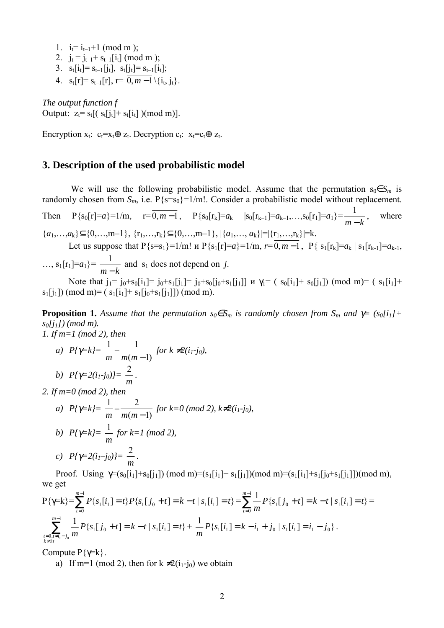- 1.  $i_t = i_{t-1}+1$  (mod m);
- 2.  $i_t = i_{t-1} + s_{t-1}[i_t] \pmod{m}$ ;
- 3.  $s_t[i_t]= s_{t-1}[j_t], s_t[j_t]= s_{t-1}[i_t];$
- 4.  $s_t[r] = s_{t-1}[r]$ ,  $r = \overline{0, m-1} \setminus \{i_t, i_t\}.$

*The output function f* Output:  $z_t = s_t[(s_t[j_t] + s_t[i_t]) (mod m)]$ .

Encryption  $x_t$ :  $c_t = x_t \oplus z_t$ . Decryption  $c_t$ :  $x_t = c_t \oplus z_t$ .

### **3. Description of the used probabilistic model**

We will use the following probabilistic model. Assume that the permutation  $s_0 \in S_m$  is randomly chosen from  $S_m$ , i.e.  $P{s=s_0}=1/m!$ . Consider a probabilistic model without replacement.

Then  $P{s_0[r]=a}=1/m$ ,  $r=0, m-1$ ,  $P{s_0[r_k]=a_k}$   $|s_0[r_{k-1}]=a_{k-1},...,s_0[r_1]=a_1}$ *m* − *k*  $\frac{1}{1}$ , where  ${a_1,\ldots,a_k} \subseteq \{0,\ldots,m-1\}, \{r_1,\ldots,r_k\} \subseteq \{0,\ldots,m-1\}, |\{a_1,\ldots,a_k\}|=|{r_1,\ldots,r_k}|=k.$ Let us suppose that  $P{s=s_1}=1/m!$  *u*  $P{s_1[r]=a}=1/m$ ,  $r=\overline{0,m-1}$ ,  $P{s_1[r_k]=a_k | s_1[r_{k-1}]=a_{k-1}}$ ,

 $\ldots$ ,  $s_1[r_1]=a_1$ }= *m* − *k*  $\frac{1}{1}$  and s<sub>1</sub> does not depend on *j*.

Note that  $j_1 = j_0 + s_0[i_1] = j_0 + s_1[j_1] = j_0 + s_0[j_0 + s_1[j_1]]$   $\mu$   $\gamma_1 = (s_0[i_1] + s_0[j_1])$  (mod m)=  $(s_1[i_1] + s_0[j_1])$  $s_1[i_1]$  (mod m)= ( $s_1[i_1]+s_1[i_0+s_1[i_1]]$ ) (mod m).

**Proposition 1.** Assume that the permutation  $s_0 \in S_m$  is randomly chosen from  $S_m$  and  $\gamma = (s_0[i_1]+s_2[i_2])$ *s0[j1]) (mod m). 1. If m=1 (mod 2), then* 

a) 
$$
P\{\gamma=k\} = \frac{1}{m} - \frac{1}{m(m-1)}
$$
 for  $k \neq 2(i_1-j_0)$ ,  
b)  $P\{\gamma=2(i_1-j_0)\} = \frac{2}{m}$ .

*2. If m=0 (mod 2), then* 

a) 
$$
P\{\gamma=k\} = \frac{1}{m} - \frac{2}{m(m-1)}
$$
 for  $k=0 \pmod{2}$ ,  $k \neq 2(i_1-j_0)$ ,  
\nb)  $P\{\gamma=k\} = \frac{1}{m}$  for  $k=1 \pmod{2}$ ,  
\nc)  $P\{\gamma=2(i_1-j_0)\} = \frac{2}{m}$ .

Proof. Using  $\gamma = (s_0[i_1]+s_0[j_1]) \pmod{m} = (s_1[i_1]+s_1[j_1]) \pmod{m} = (s_1[i_1]+s_1[j_0+s_1[j_1]) \pmod{m}$ , we get

$$
P\{\gamma=k\} = \sum_{t=0}^{m-1} P\{s_1[i_1] = t\} P\{s_1[j_0 + t] = k - t | s_1[i_1] = t\} = \sum_{t=0}^{m-1} \frac{1}{m} P\{s_1[j_0 + t] = k - t | s_1[i_1] = t\} = \sum_{t=0}^{m-1} \frac{1}{m} P\{s_1[j_0 + t] = k - t | s_1[i_1] = t\} + \frac{1}{m} P\{s_1[i_1] = k - i_1 + j_0 | s_1[i_1] = i_1 - j_0\}.
$$

Compute  $P\{\gamma=k\}$ .

a) If m=1 (mod 2), then for  $k \neq 2(i_1-i_0)$  we obtain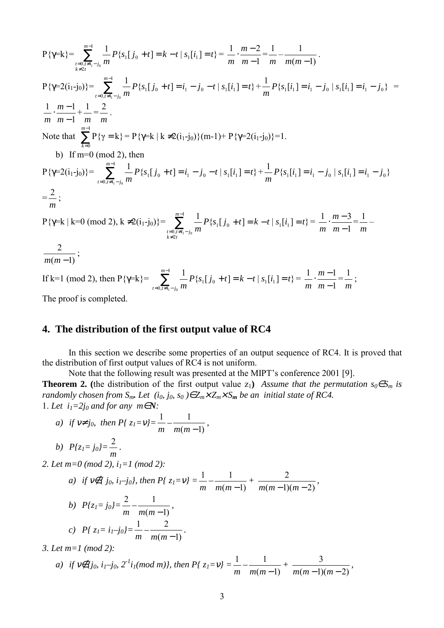$$
P\{\gamma=k\} = \sum_{\substack{i=0, i \neq i \\ i \neq 2i}}^{m-1} \frac{1}{m} P\{s_i[j_0 + t] = k - t | s_i[i_1] = t\} = \frac{1}{m} \cdot \frac{m-2}{m-1} = \frac{1}{m} - \frac{1}{m(m-1)}.
$$
\n
$$
P\{\gamma=2(i_1-j_0)\} = \sum_{\substack{i=0, i \neq i \\ j \neq i}}^{m-1} \frac{1}{m} P\{s_i[j_0 + t] = i_1 - j_0 - t | s_i[i_1] = t\} + \frac{1}{m} P\{s_i[i_1] = i_1 - j_0 | s_i[i_1] = i_1 - j_0\} = \frac{1}{m} \cdot \frac{m-1}{m-1} + \frac{1}{m} = \frac{2}{m}.
$$
\nNote that 
$$
\sum_{k=0}^{m-1} P\{\gamma=k\} = P\{\gamma=k \mid k \neq 2(i_1-j_0)\} (m-1) + P\{\gamma=2(i_1-j_0)\} = 1.
$$

\nb) If  $m=0 \pmod{2}$ , then

\n
$$
P\{\gamma=2(i_1-j_0)\} = \sum_{\substack{i=0, i \neq i_1 - j_0 \\ i \neq j}}^{m-1} \frac{1}{m} P\{s_i[j_0 + t] = i_1 - j_0 - t | s_i[i_1] = t\} + \frac{1}{m} P\{s_i[i_1] = i_1 - j_0 | s_i[i_1] = i_1 - j_0\}
$$
\n
$$
= \frac{2}{m};
$$
\n
$$
P\{\gamma=k \mid k=0 \pmod{2}, k \neq 2(i_1-j_0)\} = \sum_{\substack{i=0, i \neq i_1 - j_0 \\ k \neq 2i}}^{m-1} \frac{1}{m} P\{s_i[j_0 + t] = k - t | s_i[i_1] = t\} = \frac{1}{m} \cdot \frac{m-3}{m-1} = \frac{1}{m} - \frac{2}{m-1} = \frac{2}{m}.
$$
\nIf  $k=1 \pmod{2}$ , then 
$$
P\{\gamma=k\} = \sum_{\substack{i=0, i \neq i_1 - j_0 \\ i \neq j_1}}^{m-
$$

The proof is completed.

### **4. The distribution of the first output value of RC4**

In this section we describe some properties of an output sequence of RC4. It is proved that the distribution of first output values of RC4 is not uniform.

Note that the following result was presented at the MIPT's conference 2001 [9].

**Theorem 2.** (the distribution of the first output value z<sub>1</sub>) *Assume that the permutation*  $s_0 \in S_m$  is *randomly chosen from*  $S_m$ *. Let*  $(i_0, j_0, s_0) \in Z_m \times Z_m \times S_m$  *be an initial state of RC4.* 1. Let  $i_1=2i_0$  and for any  $m \in \mathbb{N}$ *:* 

a) if 
$$
v \neq j_0
$$
, then  $P\{z_1 = v\} = \frac{1}{m} - \frac{1}{m(m-1)}$ ,

b) 
$$
P\{z_l = j_0\} = \frac{2}{m}
$$
.

*2. Let m=0 (mod 2), i1=1 (mod 2):* 

a) if 
$$
v \notin \{j_0, i_1-j_0\}
$$
, then  $P\{z_1 = v\} = \frac{1}{m} - \frac{1}{m(m-1)} + \frac{2}{m(m-1)(m-2)}$ ,

b) 
$$
P{z_1 = j_0} = \frac{2}{m} - \frac{1}{m(m-1)},
$$
  
c)  $P{z_1 = i_1 - j_0} = \frac{1}{m} - \frac{2}{m(m-1)}.$ 

*3. Let m=1 (mod 2):* 

a) if 
$$
v \notin \{j_0, i_1-j_0, 2^{-1}i_1 \pmod{m}\}
$$
, then  $P\{z_1=v\} = \frac{1}{m} - \frac{1}{m(m-1)} + \frac{3}{m(m-1)(m-2)}$ ,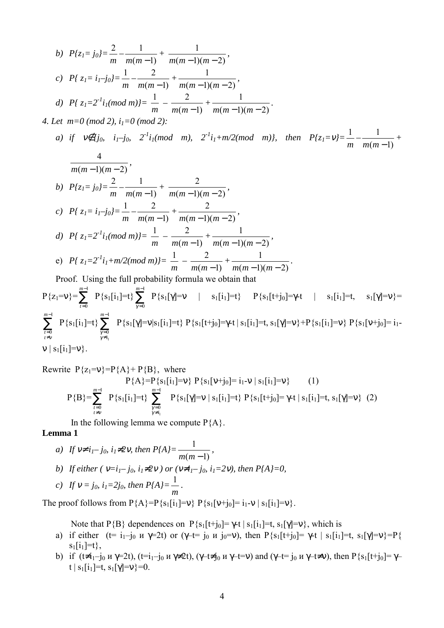b) 
$$
P\{z_1 = j_0\} = \frac{2}{m} - \frac{1}{m(m-1)} + \frac{1}{m(m-1)(m-2)},
$$
  
\nc)  $P\{z_1 = i_1 - j_0\} = \frac{1}{m} - \frac{2}{m(m-1)} + \frac{1}{m(m-1)(m-2)},$   
\nd)  $P\{z_1 = 2^{-1}i_1(mod\ m)\} = \frac{1}{m} - \frac{2}{m(m-1)} + \frac{1}{m(m-1)(m-2)}.$   
\n4. Let  $m = 0 \pmod{2}$ ,  $i_1 = 0 \pmod{2}$ :

a) if 
$$
V \notin [j_0, i_1-j_0, 2^{-l}i_1 \pmod{m}, 2^{-l}i_1+m/2 \pmod{m}],
$$
 then  $P\{z_1 = V\} = \frac{1}{m} - \frac{1}{m(m-1)}$   
\n
$$
\frac{4}{m(m-1)(m-2)},
$$
\nb)  $P\{z_1 = j_0\} = \frac{2}{m} - \frac{1}{m(m-1)} + \frac{2}{m(m-1)(m-2)},$   
\nc)  $P\{z_1 = i_1-j_0\} = \frac{1}{m} - \frac{2}{m(m-1)} + \frac{2}{m(m-1)(m-2)},$   
\nd)  $P\{z_1 = 2^{-l}i_1 \pmod{m}\} = \frac{1}{m} - \frac{2}{m(m-1)} + \frac{1}{m(m-1)(m-2)},$   
\ne)  $P\{z_1 = 2^{-l}i_1 + m/2 \pmod{m}\} = \frac{1}{m} - \frac{2}{m(m-1)} + \frac{1}{m(m-1)(m-2)}.$   
\nProof. Using the full probability formula we obtain that

$$
P\{z_1=v\} = \sum_{\substack{r=0 \ r \neq v}}^{m-1} P\{s_1[i_1]=t\} \sum_{\substack{\gamma=0 \ \gamma \neq i_1}}^{m-1} P\{s_1[\gamma]=v \mid s_1[i_1]=t\} \quad P\{s_1[t+j_0]=\gamma-t \mid s_1[i_1]=t, \quad s_1[\gamma]=v\} = \sum_{\substack{r=0 \ r \neq v}}^{m-1} P\{s_1[i_1]=t\} \quad P\{s_1[t+j_0]=\gamma-t \mid s_1[i_1]=t, \quad s_1[\gamma]=v\} + P\{s_1[i_1]=v\} \quad P\{s_1[v+j_0]=i_1-v\} = \sum_{\substack{r=0 \ r \neq v}}^{m-1} P\{s_1[i_1]=v\} \quad P\{s_1[i_1]=v\} \quad P\{s_1[i_1]=v\}.
$$

Rewrite 
$$
P\{z_1=v\}=P\{A\}+P\{B\}
$$
, where  
\n $P\{A\}=P\{s_1[i_1]=v\} P\{s_1[v+j_0]=i_1-v \mid s_1[i_1]=v\}$  (1)  
\n $P\{B\}=\sum_{\substack{t=0 \ t \neq v}}^{m-1} P\{s_1[i_1]=t\} \sum_{\substack{\gamma=0 \ \gamma \neq i_1}}^{m-1} P\{s_1[\gamma]=v \mid s_1[i_1]=t\} P\{s_1[t+j_0]=\gamma+t \mid s_1[i_1]=t, s_1[\gamma]=v\}$  (2)

In the following lemma we compute  $P{A}$ .

### **Lemma 1**

*a*) If  $v \neq i_1 - j_0$ ,  $i_1 \neq 2v$ , then  $P\{A\} = \frac{1}{m(m-1)}$ , *b)* If either ( $v=i_1-j_0$ ,  $i_1\neq 2v$ ) or ( $v\neq i_1-j_0$ ,  $i_1=2v$ ), then  $P{A}=0$ , *c*) If  $v = j_0$ ,  $i_1 = 2j_0$ , then  $P{A}$ = 1 *.* 

The proof follows from  $P{A} = P{s_1[i_1]}=v$   $P{s_1[v+j_0]}= i_1-v |s_1[i_1]}=v$ .

*m*

Note that P{B} dependences on P{s<sub>1</sub>[t+j<sub>0</sub>]=  $\gamma$ -t | s<sub>1</sub>[i<sub>1</sub>]=t, s<sub>1</sub>[ $\gamma$ ]=v}, which is

- a) if either (t= i<sub>1</sub>-j<sub>0</sub> и  $\gamma$ =2t) or ( $\gamma$ -t= j<sub>0</sub> и j<sub>0</sub>=v), then P{s<sub>1</sub>[t+j<sub>0</sub>]=  $\gamma$ -t | s<sub>1</sub>[i<sub>1</sub>]=t, s<sub>1</sub>[ $\gamma$ ]=v}=P{  $s_1[i_1]=t\},\$
- b) if  $(t\neq i_1-j_0 \le y=2t)$ ,  $(t=i_1-j_0 \le y\neq 2t)$ ,  $(\gamma-t\neq j_0 \le y-t=v)$  and  $(\gamma-t=j_0 \le y-t\neq v)$ , then P{s<sub>1</sub>[t+j<sub>0</sub>]=  $\gamma$ t | s<sub>1</sub>[i<sub>1</sub>]=t, s<sub>1</sub>[ $\gamma$ ]=v}=0.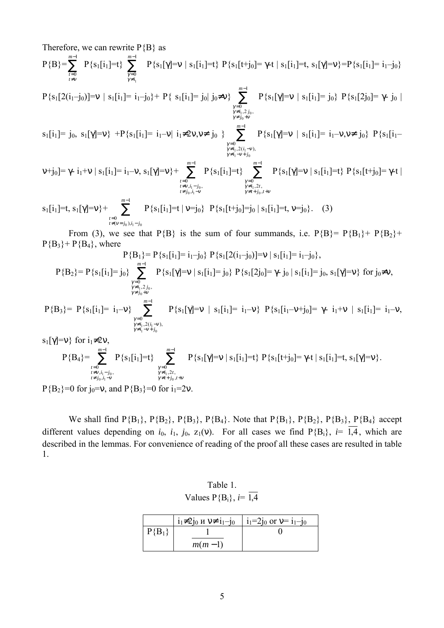Therefore, we can rewrite  $P{B}$  as

$$
P\{B\} = \sum_{\stackrel{t=0}{t \neq v}}^{m-1} P\{s_1[i_1] = t\} \sum_{\stackrel{\gamma = 0}{\gamma \neq i_1}}^{m-1} P\{s_1[\gamma] = v \mid s_1[i_1] = t\} \ P\{s_1[t+j_0] = \gamma \text{-}t \mid s_1[i_1] = t, \ s_1[\gamma] = v\} = P\{s_1[i_1] = i_1-j_0\}
$$

$$
P\{s_1[2(i_1-j_0)]=v \ | \ s_1[i_1]=i_1-j_0\}+P\{\ s_1[i_1]=j_0 | \ j_0\neq v\} \sum_{\substack{\gamma=0 \\ \gamma\neq i_1, 2\neq 0, \\ \gamma\neq j_0+v}}^{m-1} P\{s_1[\gamma]=v \ | \ s_1[i_1]=j_0\} \ P\{s_1[2j_0]=\gamma\cdot j_0 \ | \ s_1=j_0\}
$$

$$
s_1[i_1]=j_0, \ s_1[\gamma]=v \} \ + P\{s_1[i_1]=i_1-v | \ i_1 \neq 2v, v \neq j_0 \ \} \sum_{\substack{\gamma=0 \\ \gamma \neq i_1, 2(i_1-v), \\ \gamma \neq i_1-v+j_0}}^{m-1} P\{s_1[\gamma]=v | \ s_1[i_1]=i_1-v, v \neq j_0 \} \ P\{s_1[i_1]=i_1-v, v \neq j_0\} \ P\{s_1[i_1]=i_1-v, v \neq j_0\} \ P\{s_1[i_1]=i_1-v, v \neq j_0\} \ P\{s_1[i_1]=i_1-v, v \neq j_0\} \ P\{s_1[i_1]=i_1-v, v \neq j_0\} \ P\{s_1[i_1]=i_1-v, v \neq j_0\} \ P\{s_1[i_1]=i_1-v, v \neq j_0\} \ P\{s_1[i_1]=i_1-v, v \neq j_0\} \ P\{s_1[i_1]=i_1-v, v \neq j_0\}
$$

$$
\mathsf{v} + j_0] = \gamma - i_1 + \mathsf{v} \mid s_1[i_1] = i_1 - \mathsf{v}, \ s_1[\gamma] = \mathsf{v} \} + \sum_{\substack{t=0 \\ t \neq v, i_1 - j_0, \\ t \neq j_0, i_1 - \mathsf{v}}}^{m-1} P\{s_1[i_1] = t\} \sum_{\substack{\gamma = 0 \\ \gamma \neq i_1, 2t, \\ \gamma \neq t + j_0, t + \mathsf{v}}}^{m-1} P\{s_1[\gamma] = \mathsf{v} \mid s_1[i_1] = t\} P\{s_1[t+j_0] = \gamma - t \mid t \neq j_0, i_1 - j_0, \dots, i_{\gamma - 1} - j_{\gamma - 1}} \}
$$

$$
s_1[i_1]=t, s_1[\gamma]=v\}+\sum_{\substack{t=0 \ t \neq (v=j_0), i_1=j_0}}^{w-1} P\{s_1[i_1]=t | v=j_0\} \ P\{s_1[t+j_0]=j_0 | s_1[i_1]=t, v=j_0\}.
$$
 (3)

From (3), we see that P{B} is the sum of four summands, i.e. P{B}= P{B<sub>1</sub>}+ P{B<sub>2</sub>}+  $P{B_3} + P{B_4}$ , where  $\mathbf{D}(\mathbf{D}_i) = \mathbf{D}(\mathbf{s}_i[\mathbf{i}_i] - \mathbf{i}_i \mathbf{i}_j) \mathbf{D}(\mathbf{s}_i[\mathbf{2}(\mathbf{i}_i \mathbf{i}_j)] - \mathbf{v} |\mathbf{s}_i[\mathbf{i}_i] - \mathbf{i}_i \mathbf{i}_j)$ 

$$
P\{B_{1}\} = P\{s_{1}[1_{1}] = 1_{1} - j_{0}\} \quad P\{s_{1}[2(1_{1} - j_{0})] = V \mid s_{1}[1_{1}] = 1_{1} - j_{0}\},
$$
\n
$$
P\{B_{2}\} = P\{s_{1}[i_{1}] = j_{0}\} \sum_{\substack{\gamma=0 \\ \gamma \neq i_{1}, 2j_{0}, \\ \gamma \neq j_{0} + V}}^{m-1} P\{s_{1}[\gamma] = V \mid s_{1}[i_{1}] = j_{0}\} \quad P\{s_{1}[2j_{0}] = \gamma - j_{0} \mid s_{1}[i_{1}] = j_{0}, s_{1}[\gamma] = V\} \quad \text{for } j_{0} \neq V,
$$
\n
$$
P\{B_{3}\} = P\{s_{1}[i_{1}] = i_{1} - V\} \sum_{\substack{\gamma=0 \\ \gamma \neq i_{1}, 2(i_{1} - V), \\ \gamma \neq i_{1} - V + j_{0}}}^{m-1} P\{s_{1}[\gamma] = V \mid s_{1}[i_{1}] = i_{1} - V\} \quad P\{s_{1}[i_{1} - V + j_{0}] = \gamma - i_{1} + V \mid s_{1}[i_{1}] = i_{1} - V,
$$
\n
$$
s_{1}[\gamma] = V\} \quad \text{for } i_{1} \neq 2V,
$$
\n
$$
S_{1}[\gamma] = V \quad \text{for } i_{1} \neq 2V,
$$
\n
$$
S_{2}[\gamma] = V \quad \text{for } i_{2} \neq V,
$$
\n
$$
S_{3}[\gamma] = V \quad \text{for } i_{3} \neq 0
$$

$$
P{B_4} = \sum_{\substack{t=0 \ t \neq v, i_1 - j_0, \\ t \neq j_0, i_1 - v}}^{m-1} P{s_1[i_1] = t} \sum_{\substack{\gamma=0 \ \gamma \neq i_1, 2t, \\ \gamma \neq i_1, 2t, \\ \gamma \neq t + j_0, t + v}}^{m-1} P{s_1[\gamma] = v | s_1[i_1] = t} P{s_1[t+j_0] = \gamma \cdot t | s_1[i_1] = t, s_1[\gamma] = v}.
$$

 $P{B_2}=0$  for j<sub>0</sub>=v, and  $P{B_3}=0$  for i<sub>1</sub>=2v.

We shall find  $P{B_1}$ ,  $P{B_2}$ ,  $P{B_3}$ ,  $P{B_4}$ . Note that  $P{B_1}$ ,  $P{B_2}$ ,  $P{B_3}$ ,  $P{B_4}$  accept different values depending on  $i_0$ ,  $i_1$ ,  $j_0$ ,  $z_1(v)$ . For all cases we find P{B<sub>i</sub>},  $i = \overline{1,4}$ , which are described in the lemmas. For convenience of reading of the proof all these cases are resulted in table 1.

Table 1. Values  $P{B_i}$ , *i*=  $\overline{1,4}$ 

|          | $i_1\neq 2j_0$ $\le$ $\vee \neq i_1-j_0$ | $\vert i_1=2j_0$ or $v=i_1-j_0$ |
|----------|------------------------------------------|---------------------------------|
| $P{B_1}$ |                                          |                                 |
|          | $m(m-1)$                                 |                                 |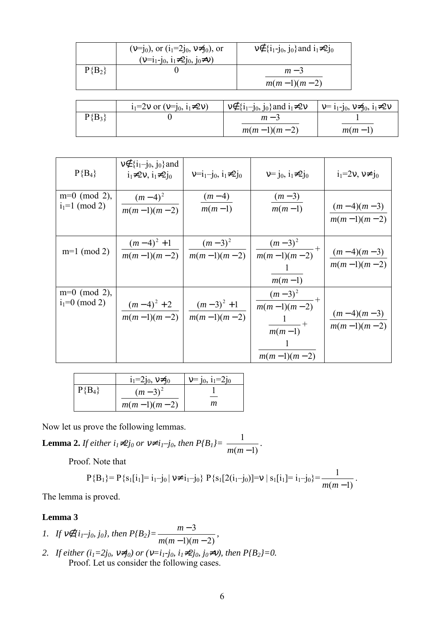|          | $(v=j_0)$ , or $(i_1=2j_0, v\neq j_0)$ , or<br>$(v=i_1-j_0, i_1\neq 2j_0, j_0\neq v)$ | $v \notin \{i_1 - j_0, j_0\}$ and $i_1 \neq 2j_0$ |
|----------|---------------------------------------------------------------------------------------|---------------------------------------------------|
| $P{B_2}$ |                                                                                       | $m-3$<br>$m(m-1)(m-2)$                            |

|          | $i_1=2v$ or $(v=i_0, i_1\neq 2v)$ | $v \notin \{i_1-j_0, j_0\}$ and $i_1 \neq 2v$ | $v = i_1 - j_0, v \neq j_0, i_1 \neq 2v$ |
|----------|-----------------------------------|-----------------------------------------------|------------------------------------------|
| $P{B_3}$ |                                   | $m - 3$                                       |                                          |
|          |                                   | $m(m-1)(m-2)$                                 | $m(m-1)$                                 |

| $P{B_4}$                             | $v \notin \{i_1-j_0, j_0\}$ and<br>$i_1\neq 2v$ , $i_1\neq 2i_0$ | $v=i_1-j_0$ , $i_1\neq 2j_0$ | $v = i_0, i_1 \neq 2i_0$                                                                         | $i_1=2v, v\neq j_0$                     |
|--------------------------------------|------------------------------------------------------------------|------------------------------|--------------------------------------------------------------------------------------------------|-----------------------------------------|
| $m=0 \pmod{2}$ ,<br>$i_1=1 \pmod{2}$ | $\frac{(m-4)^2}{2}$<br>$m(m-1)(m-2)$                             | $\frac{(m-4)}{m(m-1)}$       | $\frac{(m-3)}{m(m-1)}$                                                                           | $(m-4)(m-3)$<br>$m(m-1)(m-2)$           |
| $m=1 \pmod{2}$                       | $(m-4)^2+1$<br>$\frac{m(m-1)(m-2)}{m}$                           | $(m-3)^2$<br>$m(m-1)(m-2)$   | $\frac{(m-3)^2}{m(m-1)(m-2)} +$<br>$m(m-1)$                                                      | $\frac{(m-4)(m-3)}{2}$<br>$m(m-1)(m-2)$ |
| $m=0 \pmod{2}$ ,<br>$i_1=0 \pmod{2}$ | $(m-4)^2+2$<br>$m(m-1)(m-2)$                                     | $(m-3)^2+1$<br>$m(m-1)(m-2)$ | $\frac{(m-3)^2}{m(m-1)(m-2)} +$<br>$\frac{1}{\sqrt{1-\frac{1}{2}}}$<br>$m(m-1)$<br>$m(m-1)(m-2)$ | $\frac{(m-4)(m-3)}{m}$<br>$m(m-1)(m-2)$ |

|          | $i_1=2j_0, v\neq j_0$ | $v = j_0$ , $i_1 = 2j_0$ |
|----------|-----------------------|--------------------------|
| $P{B_4}$ | $(m-3)^2$             |                          |
|          | $m(m-1)(m-2)$         | т                        |

Now let us prove the following lemmas.

**Lemma 2.** *If either i<sub>1</sub>≠2j<sub>0</sub> or*  $v \neq i_1-j_0$ *, then*  $P\{B_1\} = \frac{1}{m(m-1)}$ *.* 

Proof. Note that

$$
P{B1} = P{s1[i1] = i1 - j0 | v \neq i1 - j0} P{s1[2(i1 - j0)] = v | s1[i1] = i1 - j0} = \frac{1}{m(m-1)}.
$$

The lemma is proved.

#### **Lemma 3**

- *1.* If  $v \notin \{i_1-j_0, j_0\}$ , then  $P\{B_2\} = \frac{m-3}{m(m-1)(m-2)}$  $-1)(m -$ −  $m(m-1)(m)$  $\frac{m-3}{m}$ ,
- *2. If either (i<sub>1</sub>=2j<sub>0</sub>,*  $v \neq j_0$ *) or (* $v=i_1-j_0$ *,*  $i_1 \neq 2j_0$ *,*  $j_0 \neq v$ *), then*  $P\{B_2\}=0$ *.* Proof. Let us consider the following cases.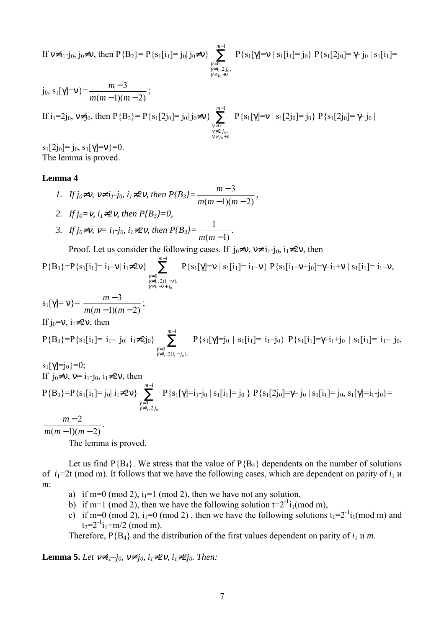If 
$$
\nu \neq i_1 - j_0
$$
,  $j_0 \neq \nu$ , then  $P{B_2} = P{s_1[i_1] = j_0 | j_0 \neq \nu}$   
\n
$$
\sum_{\substack{\gamma=0 \ \gamma \neq j_0 + \nu}}^{m-1} P{s_1[\gamma] = \nu | s_1[i_1] = j_0} P{s_1[2j_0] = \gamma - j_0 | s_1[i_1] = j_0}
$$
\n
$$
P{s_1[2j_0] = \gamma - j_0 | s_1[i_1] = j_0}
$$
\n
$$
= \frac{m-3}{m(m-1)(m-2)};
$$
\nIf  $i_1 = 2j_0$ ,  $\nu \neq j_0$ , then  $P{B_2} = P{s_1[2j_0] = j_0 | j_0 \neq \nu}$   
\n
$$
\sum_{\substack{\gamma=0 \ \gamma \neq j_0, \\ \gamma \neq j_0 + \nu}}^{m-1} P{s_1[\gamma] = \nu | s_1[2j_0] = j_0} P{s_1[2j_0] = \gamma - j_0 | j_0 \neq \nu}
$$

 $s_1[2j_0]=j_0, s_1[\gamma]=v\}=0.$ The lemma is proved.

#### **Lemma 4**

*1.* If 
$$
j_0 \neq v
$$
,  $v \neq i_1 \cdot j_0$ ,  $i_1 \neq 2v$ , then  $P\{B_3\} = \frac{m-3}{m(m-1)(m-2)}$ ,

- *2. If j<sub>0</sub>*=*ν*, *i*<sub>1</sub>≠2*ν*, *then P*{*B<sub>3</sub>}=0,*
- *3. If j<sub>0</sub>*≠*v*, *v*= *i<sub>1</sub>*-*j*<sub>0</sub>, *i*<sub>1</sub>≠2*v*, *then*  $P\{B_3\} = \frac{1}{m(m-1)}$ .

Proof. Let us consider the following cases. If  $j_0 \neq v$ ,  $v \neq i_1-j_0$ ,  $i_1 \neq 2v$ , then

$$
P{B_3} = P{s_1[i_1] = i_1 - v | i_1 \neq 2v} \sum_{\substack{\gamma=0 \ \gamma \neq i_1, 2(i_1 - v), \\ \gamma \neq i_1 - v + j_0}}^{m-1} P{s_1[\gamma] = v | s_1[i_1] = i_1 - v} P{s_1[i_1 - v + j_0] = \gamma - i_1 + v | s_1[i_1] = i_1 - v,}
$$

$$
s_{1}[\gamma] = v_{0} = \frac{m-3}{m(m-1)(m-2)};
$$
  
If j\_{0}=v, i\_{1} \neq 2v, then  

$$
P{B_{3}} = P{s_{1}[i_{1}] = i_{1} - j_{0} | i_{1} \neq 2j_{0}} \sum_{\substack{\gamma=0 \\ \gamma \neq i_{1}, 2(i_{1}-j_{0})}}^{m-1} P{s_{1}[\gamma] = j_{0} | s_{1}[i_{1}] = i_{1} - j_{0}} P{s_{1}[i_{1}] = \gamma - i_{1} + j_{0} | s_{1}[i_{1}] = i_{1} - j_{0},
$$
  

$$
s_{1}[\gamma] = j_{0} = 0;
$$

If 
$$
j_0
$$
,  $j_0$ ,  $j_1$ ,  $j_0$ ,  $j_1$ ,  $j_0$ ,  $j_1$ ,  $j_0$ ,  $j_1$ ,  $j_0$ ,  $j_1$ ,  $j_0$ ,  $j_1$ ,  $j_0$ ,  $j_1$ ,  $j_0$ ,  $j_1$ ,  $j_0$ , and  $j_1$ ,  $j_0$ , and  $j_1$ ,  $j_0$ , and  $j_1$ ,  $j_0$ ,  $j_1$ ,  $j_0$ ,  $j_1$ ,  $j_0$ ,  $j_1$ ,  $j_0$ ,  $j_1$ ,  $j_0$ ,  $j_1$ ,  $j_0$ ,  $j_1$ ,  $j_0$ ,  $j_1$ ,  $j_0$ ,  $j_1$ ,  $j_0$ ,  $j_1$ ,  $j_0$ ,  $j_1$ ,  $j_0$ ,  $j_1$ ,  $j_0$ ,  $j_1$ ,  $j_0$ ,  $j_1$ ,  $j_0$ ,  $j_1$ ,  $j_0$ ,  $j_1$ ,  $j_0$ ,  $j_1$ ,  $j_0$ ,  $j_1$ ,  $j_0$ ,  $j_1$ ,  $j_0$ ,  $j_1$ ,  $j_0$ ,  $j_1$ ,  $j_0$ ,  $j_1$ ,  $j_0$ ,  $j_1$ ,  $j_0$ ,  $j_1$ ,  $j_0$ ,  $j_1$ ,  $j_0$ ,  $j_1$ ,  $j_0$ ,  $j_1$ ,  $j_0$ ,  $j_1$ ,  $j_0$ ,  $j_1$ ,  $j_0$ ,  $j_1$ ,  $j_0$ ,  $j_1$ ,  $j_0$ ,  $j_1$ ,  $j_0$ ,  $j_1$ ,  $j_0$ ,  $j_1$ ,  $j_0$ ,  $j_1$ ,  $j_0$ ,  $j_1$ ,  $j_0$ ,  $j_1$ , <

 $(m-1)(m-2)$  $-1)(m$  $m(m-1)(m)$ 

The lemma is proved.

Let us find  $P{B_4}$ . We stress that the value of  $P{B_4}$  dependents on the number of solutions of  $i_1$ =2t (mod m). It follows that we have the following cases, which are dependent on parity of  $i_1$  u *m*:

- a) if m=0 (mod 2),  $i_1$ =1 (mod 2), then we have not any solution,
- b) if m=1 (mod 2), then we have the following solution  $t=2^{-1}i_1(\text{mod }m)$ ,
- c) if m=0 (mod 2),  $i_1$ =0 (mod 2), then we have the following solutions  $t_1$ =2<sup>-1</sup> $i_1$ (mod m) and  $t_2=2^{-1}i_1+m/2$  (mod m).

Therefore,  $P{B_4}$  and the distribution of the first values dependent on parity of  $i_1$  *u m*.

**Lemma 5.** *Let*  $v \neq i_1-j_0$ ,  $v \neq j_0$ ,  $i_1 \neq 2v$ ,  $i_1 \neq 2j_0$ . *Then:*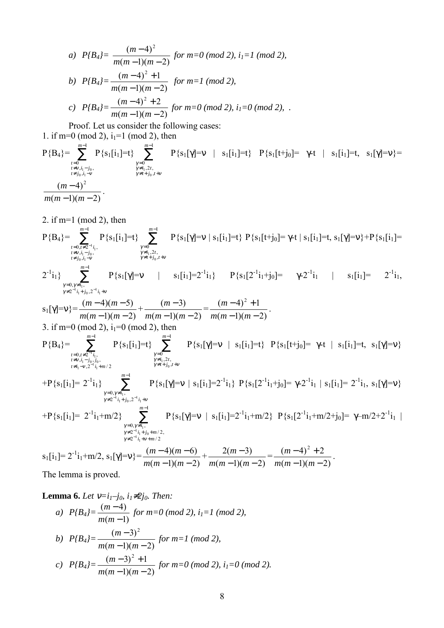a) 
$$
P\{B_4\} = \frac{(m-4)^2}{m(m-1)(m-2)}
$$
 for  $m=0 \pmod{2}$ ,  $i_1=1 \pmod{2}$ ,  
\nb)  $P\{B_4\} = \frac{(m-4)^2 + 1}{m(m-1)(m-2)}$  for  $m=1 \pmod{2}$ ,  
\nc)  $P\{B_4\} = \frac{(m-4)^2 + 2}{m(m-1)(m-2)}$  for  $m=0 \pmod{2}$ ,  $i_1=0 \pmod{2}$ ,

Proof. Let us consider the following cases:

1. if m=0 (mod 2),  $i_1$ =1 (mod 2), then  $P{B_4} = \sum^{m-1}$  $=0$ <br>≠v,i<sub>1</sub> – j<br>≠ j<sub>0</sub>,i<sub>1</sub> – 1 0<br>  $v_i, i_1 - j_0,$ <br>  $j_0, i_1 - v$  $\binom{i_1 - j_0}{0, i_1 - v}$ *m*  $t=0$ <br>  $t \neq v$ ,  $i_1 - j$ <br>  $t \neq j_0$ ,  $i_1 - j$  $v_{i_1}-J_0$ <br> $i_0$ .<br> $i_1$  –  $v$  $P\{s_1[i_1]=t\}$   $\sum^{m-1}$  $=0$ <br>  $\neq i_1, 2t$ ,<br>  $\neq t+j_0, t+$ 1  $0$ <br>  $i_1, 2t$ ,<br>  $t+j_0$ ,  $x_1, 2i$ <br> $x_2 + j_0$ *m γ* ≠i<sub>1</sub>,2t,<br>γ≠i<sub>1</sub>,2t,<br>γ≠t+j<sub>0</sub>,t+v  $P{s_1[\gamma]=v$  | s<sub>1</sub>[i<sub>1</sub>]=t}  $P{s_1[t+j_0]} = \gamma$ -t | s<sub>1</sub>[i<sub>1</sub>]=t, s<sub>1</sub>[γ]=v}=  $(m-1)(m-2)$  $(m-4)^2$  $-1)(m -$ −  $m(m-1)(m)$  $\frac{(m-4)^2}{(m+1)^2}$ .

2. if m=1 (mod 2), then  
\nP{B<sub>4</sub>} = 
$$
\sum_{\substack{r=0, r \neq 2^{-1}i, \\ r \neq j, \\ r \neq j, \\ r \neq j}}^{\sum_{\substack{r=0, \\ r \neq j, \\ r \neq j, \\ r \neq j, \\ r \neq j}}^{\sum_{\substack{r=0, \\ r \neq j, \\ r \neq j, \\ r \neq j, \\ r \neq j}}^{\sum_{\substack{r=0, \\ r \neq j, \\ r \neq j, \\ r \neq j}}^{\sum_{\substack{r=0, \\ r \neq j, \\ r \neq j, \\ r \neq j}}^{\sum_{\substack{r=0, \\ r \neq j, \\ r \neq j, \\ r \neq j}}^{\sum_{\substack{r=0, \\ r \neq j, \\ r \neq j, \\ r \neq j}}^{\sum_{\substack{r=0, \\ r \neq j, \\ r \neq j}}^{\sum_{\substack{r=0, \\ r \neq j, \\ r \neq j}}^{\sum_{\substack{r=0, \\ r \neq j, \\ r \neq j}}^{\sum_{\substack{r=0, \\ r \neq j, \\ r \neq j}}^{\sum_{\substack{r=0, \\ r \neq j, \\ r \neq j}}^{\sum_{\substack{r=0, \\ r \neq j, \\ r \neq j, \\ r \neq j}}^{\sum_{\substack{r=0, \\ r \neq j, \\ r \neq j, \\ r \neq j}}^{\sum_{\substack{r=0, \\ r \neq j, \\ r \neq j, \\ r \neq j, \\ r \neq j, \\ r \neq j}}^{\sum_{\substack{r=0, \\ r \neq j, \\ r \neq j, \\ r \neq j, \\ r \neq j, \\ r \neq j, \\ r \neq j}}^{\sum_{\substack{r=0, \\ r \neq j, \\ r \neq j, \\ r \neq j, \\ r \neq j, \\ r \neq j, \\ r \neq j, \\ r \neq j, \\ r \neq j}}^{\sum_{\substack{r=0, \\ r \neq j, \\ r \neq j, \\ r \neq j, \\ r \neq j, \\ r \neq j, \\ r \neq j, \\ r \neq j}}^{\sum_{\substack{r=0, \\ r \neq j, \\ r \neq j, \\ r \neq j, \\ r \neq j, \\ r \neq j, \\ r \neq j, \\ r \
$$

**Lemma 6.** Let 
$$
v=i_1-j_0
$$
,  $i_1\neq 2j_0$ . Then:  
\na)  $P\{B_4\} = \frac{(m-4)}{m(m-1)} \text{ for } m=0 \text{ (mod 2), } i_1=1 \text{ (mod 2)},$   
\nb)  $P\{B_4\} = \frac{(m-3)^2}{m(m-1)(m-2)} \text{ for } m=1 \text{ (mod 2),}$ 

c) 
$$
P\{B_4\} = \frac{(m-3)^2 + 1}{m(m-1)(m-2)}
$$
 for  $m=0 \pmod{2}$ ,  $i_1=0 \pmod{2}$ .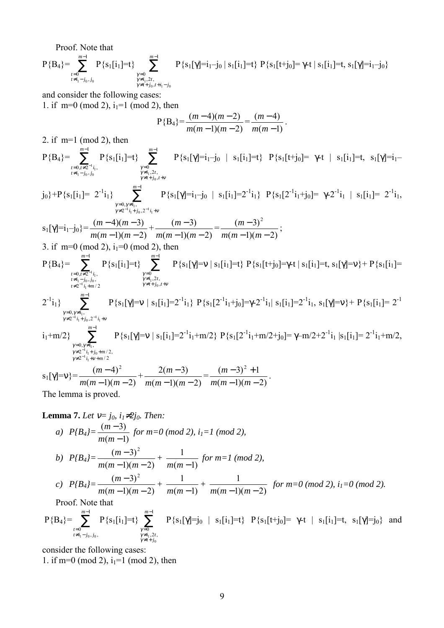Proof. Note that

 $P{B_4} = \sum^{m-1}$  $=0$ <br> $\neq i_1$ 1 0<br> $i_1 - j_0, j_0$ *m*  $\sum_{\substack{t=0 \ t \neq i_1-j_0,j_0}}^{m-1} \text{P}\{\text{s}_1[i_1]\text{=t}\} \sum_{\substack{\gamma=0 \ \gamma \neq i_1,2t,}}^{m-1}$  $\neq t+j_0$ ,  $t+i_1-$ ≠ = 1 ,  $_{i_1, 2t}^0$  $0, l + 1 - J_0$ *m*  $t + j_0, t + i_1 - j$ *γ*=0<br>γ≠i<sub>1</sub>,2*t* γ P{s<sub>1</sub>[γ]=i<sub>1</sub>-j<sub>0</sub> | s<sub>1</sub>[i<sub>1</sub>]=t} P{s<sub>1</sub>[t+j<sub>0</sub>]= γ-t | s<sub>1</sub>[i<sub>1</sub>]=t, s<sub>1</sub>[γ]=i<sub>1</sub>-j<sub>0</sub>}

and consider the following cases: 1. if  $m=0 \pmod{2}$ ,  $i_1=1 \pmod{2}$ , then

$$
P{B_4} = \frac{(m-4)(m-2)}{m(m-1)(m-2)} = \frac{(m-4)}{m(m-1)}.
$$

2. if m=1 (mod 2), then  $P{B_4} = \sum^{m-1}$  $= 0, t \neq 2^{-}$ <br> $\neq i_1 - j_0,$ 1  $0,t\neq 2^{-1}i_1,$ <br> $i_1-i_0, i_0$ 0,*t*≠2<sup>-1</sup>*i*<sub>1</sub><br>i − *j*<sub>0</sub>,*j*<sub>0</sub> *m*  $\sum_{\substack{t=0,t\neq 2^{-1}i_1,\ t\neq i_1-j_0,j_0}}^{m-1} \mathrm{P}\{\mathrm{s}_1[\mathrm{i}_1]\text{=t}\} \sum_{\substack{\gamma=0 \ \gamma\neq i_1,2t,}}^{m-1}$  $\gamma \neq t+j_0, t+v$ ≠ = 1  $_{i_1, 2t}^0$ *m γ* = 0<br>γ≠i<sub>1</sub>,2*t*  $P{s_1[\gamma]=i_1-j_0 | s_1[i_1]=t} P{s_1[t+j_0]= \gamma-t | s_1[i_1]=t, s_1[\gamma]=i_1$  $j_0$ }+P{s<sub>1</sub>[i<sub>1</sub>]= 2<sup>-1</sup>i<sub>1</sub>}  $\sum_{ }^{m-1}$  $\neq 2^{-1} i_1 + j_0$ ,  $2^{-1} i_1 +$  $= 0, \gamma \neq i_1,$ <br> $\rightarrow 2^{-1} i + i$ 1  $2^{-1}i_1+j_0^2$ , 2  $0, \gamma \neq i_1$ ,  $i_1^{i}$ <sup>1</sup> $i_1$ + $j_0$ ,2<sup>-1</sup> $i_1$ *m*  $i_1 + j_0$ ,  $2^{-1}i$ *i*  $\gamma \neq 2$   $i_1 + j_0, 2$   $i_1 + v$  $γ=0, γ$  $P\{s_1[\gamma]=i_1-j_0 \mid s_1[i_1]=2^{-1}i_1\} \cdot P\{s_1[2^{-1}i_1+j_0]=\gamma-2^{-1}i_1 \mid s_1[i_1]=2^{-1}i_1,$  $s_1[\gamma]=i_1-j_0$ } =  $\frac{(m-4)(m-3)}{m(m-1)(m-2)}$  $-1)(m -4)(m$  $m(m-1)(m)$  $\frac{m-4(m-3)}{m}$  $(m-1)(m-2)$  $(m-3)$  $-1)(m -$ −  $\frac{(m-3)}{m(m-1)(m-2)} = \frac{(m-3)^2}{m(m-1)(m-2)}$  $-1)(m -$ −  $m(m-1)(m)$  $\frac{(m-3)^2}{(m+1)^2}$ ; 3. if  $m=0 \pmod{2}$ ,  $i_1=0 \pmod{2}$ , then  $P{B_4} = \sum_{m=1}^{m-1}$  $\neq 2^{-1} i_1 +$  $=0, t \neq$ <br> $\neq i_1 - j$ − − 1  $2^{-1} i_1 + m/2$  $0,t \neq 2^{-1} i_1,$ <br> $i_1 - j_0, j_0,$  $1, t \neq 2^{-1} i_1$ <br>  $1 - j_0, j_0,$ <br>  $2^{-1} i_1 + m$ *m*  $t \neq 2^{-1} i_1 + m$  $\sum_{\substack{t=0,t\neq 2^{-1}i_1,\ t\neq i_1-j_0,j_0,\ t\neq i_1-2i_0,j_0}}^{m-1}$  **P** {**s**<sub>1</sub>[i<sub>1</sub>]=t}  $\sum_{\substack{\gamma=0 \ \gamma\neq i_1,2t,}}^{m-1}$  $=0$ <br>  $\neq i_1, 2t$ ,<br>  $\neq t+j_0, t+$ 1  $0$ <br> $i_1, 2t,$ <br> $t+j_0,$  $x_1, 2i$ <br> $x_2 + j_0$ *m γ* ≠i<sub>1</sub>,2t,<br>γ≠i<sub>1</sub>,2t,<br>γ≠t+j<sub>0</sub>,t+v P{s<sub>1</sub>[γ]=v | s<sub>1</sub>[i<sub>1</sub>]=t} P{s<sub>1</sub>[t+j<sub>0</sub>]=γ-t | s<sub>1</sub>[i<sub>1</sub>]=t, s<sub>1</sub>[γ]=v}+ P{s<sub>1</sub>[i<sub>1</sub>]=  $2^{-1}i_1$ }  $\sum^{m-1}$  $\neq 2^{-1}i_1+j_0^2$ ,  $2^{-1}i_1+$  $= 0, \gamma \neq i_1,$ <br> $\rightarrow 2^{-1}$ ; ;  $\rightarrow$ 1  $2^{-1}i_1+j_0$ , 2  $0,\gamma \neq i_1,$ <br>  $2^{-1}i_1+j_0,2^{-1}$ 1 *m*  $i_1 + j_0$ ,  $2^{-1}i$ *i*  $\gamma \neq 2 \quad i_1 + j_0, 2 \quad i_1 + v$  $\gamma = 0, \gamma$  $P\{s_1[\gamma]=v \mid s_1[i_1]=2^{-1}i_1\} \cdot P\{s_1[2^{-1}i_1+j_0]=\gamma-2^{-1}i_1| \cdot s_1[i_1]=2^{-1}i_1, \cdot s_1[\gamma]=v\}+P\{s_1[i_1]=2^{-1}i_1+1 \cdot s_1[i_1]=0\}$  $i_1+m/2$ }  $\sum_{m=1}^{m-1}$  $\neq 2^{-1} i_1 + v +$  $\neq 2^{-1} i_1 + j_0 +$  $= 0, \gamma \neq$ − − 1  $2^{-1} i_1 + v + m/2$  $2^{-1} i_1 + j_0 + m/2$ ,  $0, \gamma \neq i_1,$ <br>  $2^{-1} i_1 + j_0$ <br>  $2^{-1} i_1 + j_0$ 1 *m*  $i_1 + v + m$  $i_1 + j_0 + m$ *i*  $\gamma \neq 2 \quad i_1 + v$ γ  $\gamma = 0, \gamma$  $P\{s_1[\gamma]=v \mid s_1[i_1]=2^{-1}i_1+m/2\} \cdot P\{s_1[2^{-1}i_1+m/2+j_0]=\gamma-m/2+2^{-1}i_1 \mid s_1[i_1]=2^{-1}i_1+m/2,$  $s_1[\gamma]=v$ } =  $\frac{(m-4)^2}{m(m-1)(m-2)}$  $-1)(m -$ −  $m(m-1)(m)$  $\frac{(m-4)^2}{(m+1)^2}$  $(m-1)(m-2)$  $2(m-3)$  $-1)(m -$ −  $\frac{2(m-3)}{m(m-1)(m-2)} = \frac{(m-3)^2+1}{m(m-1)(m-2)}$  $-1)(m (-3)^{2} +$  $m(m-1)(m)$  $\frac{(m-3)^2+1}{(m+1)^2}$ .

The lemma is proved.

**Lemma 7.** Let 
$$
v = j_0
$$
,  $i_1 \neq 2j_0$ . Then:  
\na)  $P\{B_4\} = \frac{(m-3)}{m(m-1)} \text{ for } m = 0 \pmod{2}, i_1 = 1 \pmod{2},$   
\nb)  $P\{B_4\} = \frac{(m-3)^2}{m(m-1)(m-2)} + \frac{1}{m(m-1)} \text{ for } m = 1 \pmod{2},$   
\nc)  $P\{B_4\} = \frac{(m-3)^2}{m(m-1)(m-2)} + \frac{1}{m(m-1)} + \frac{1}{m(m-1)(m-2)} \text{ for } m = 0 \pmod{2}, i_1 = 0 \pmod{2}.$   
\nProof. Note that

$$
P{B_4} = \sum_{\substack{t=0 \ t \neq i_1 - j_0, j_0, \\ t \neq i_1 - j_0, j_0, \\ \gamma \neq t + j_0}}^{m-1} P{s_1[i_1] = t} \sum_{\substack{\gamma=0 \ \gamma \neq i_1, 2t, \\ \gamma \neq i_1, j_0}}^{m-1} P{s_1[\gamma] = j_0} \mid s_1[i_1] = t} P{s_1[t+j_0] = \gamma \cdot t \mid s_1[i_1] = t, s_1[\gamma] = j_0 \text{ and }
$$

consider the following cases:

1. if m=0 (mod 2),  $i_1$ =1 (mod 2), then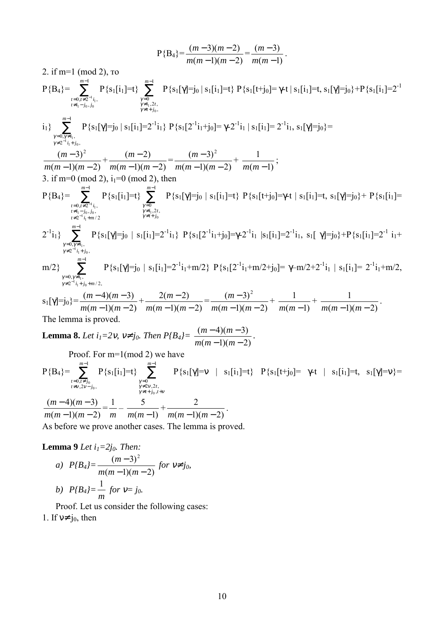$$
P{B_4} = \frac{(m-3)(m-2)}{m(m-1)(m-2)} = \frac{(m-3)}{m(m-1)}.
$$

2. if m=1 (mod 2), то

$$
P{B_4} = \sum_{\substack{i=0, i \neq 2^{-i}i, \ j \neq j}}^{m-1} P{s_1[i_1] = t} \sum_{\substack{\gamma=0, \gamma=0, \gamma=0, \gamma=0 \\ \gamma \neq i+j, \gamma=0, \gamma \neq i, \gamma=0}}^{m-1} P{s_1[i_1] = t} \sum_{\substack{\gamma=0, \gamma \neq i, \gamma=0 \\ \gamma \neq i+j, \gamma=0}}^{m-1} P{s_1[i_1] = t} \sum_{\substack{\gamma=0, \gamma \neq i, \gamma=0 \\ \gamma \neq 2^{-i}i, \gamma=0}}^{m-1} P{s_1[\gamma] = j_0 | s_1[i_1] = 2^{-i}i_1} \sum_{\substack{\gamma \neq i, \gamma=0 \\ \gamma \neq 2^{-i}i, \gamma=0}}^{m-1} P{s_1[\gamma] = j_0 | s_1[i_1] = 2^{-i}i_1 + j_0] = \gamma-2^{-i}i_1 | s_1[i_1] = 2^{-i}i_1, s_1[\gamma] = j_0} = \sum_{\substack{\gamma=0, \gamma \neq i, \gamma=0 \\ \gamma \neq 2^{-i}i, \gamma=0, \gamma \neq i, \gamma=0}}^{m-1} \frac{(m-2)}{m(m-1)(m-2)} = \frac{(m-3)^2}{m(m-1)(m-2)} + \frac{1}{m(m-1)};
$$
  
3. if m=0 (mod 2), i<sub>1</sub>=0 (mod 2), then  

$$
P{B_4} = \sum_{\substack{\gamma=0, \gamma \neq i, \gamma=0 \\ \gamma \neq i, \gamma=0, \gamma \neq i, \gamma=0 \\ \gamma \neq i, \gamma=0, \gamma \neq i, \gamma=0}}^{m-1} P{s_1[i_1] = t} \sum_{\substack{\gamma=0, \gamma \neq i, \gamma=0 \\ \gamma \neq i, \gamma=0, \gamma \neq i, \gamma=0}}^{m-1} P{s_1[i_1] = 2^{-i}i_1} \sum_{\substack{\gamma \neq i, \gamma=0 \\ \gamma \neq i, \gamma=0, \gamma \neq i, \gamma=0}}^{m-1} P{s_1[i_1] = 2^{-i}i_1} \sum_{\gamma \neq i, \gamma=0}^{m-1} P{s_1[i_1] = t
$$

**Lemma 8.** Let 
$$
i_1=2v
$$
,  $v \neq j_0$ . Then  $P\{B_4\} = \frac{(m-4)(m-3)}{m(m-1)(m-2)}$ 

Proof. For m=1(mod 2) we have

P{B4}= ∑ − ≠ − = ≠ 1 ,2 , 0, 0 0 *m t j t t j* ν ν P{s1[i1]=t} ∑ − <sup>≠</sup> <sup>+</sup> <sup>+</sup> <sup>≠</sup> = 1 , 2 ,2 , 0 0 *m t j t t* γ ν γ ν γ P{s1[γ]=ν | s1[i1]=t} P{s1[t+j0]= γ-t | s1[i1]=t, s1[γ]=ν}=

 $(m-1)(m-2)$  $(m-4)(m-3)$  $-1)(m -4)(m \frac{(m-4)(m-3)}{m(m-1)(m-2)} = \frac{1}{m} - \frac{5}{m(m-1)} + \frac{2}{m(m-1)(m-2)}$  $\frac{2}{m(m-1)(m-2)}$ . As before we prove another cases. The lemma is proved.

Lemma 9 *Let*  $i_1=2j_0$ . *Then:* 

a) 
$$
P\{B_4\} = \frac{(m-3)^2}{m(m-1)(m-2)}
$$
 for  $v \neq j_0$ ,  
b)  $P\{B_4\} = \frac{1}{m}$  for  $v = j_0$ .

Proof. Let us consider the following cases: 1. If  $v \neq j_0$ , then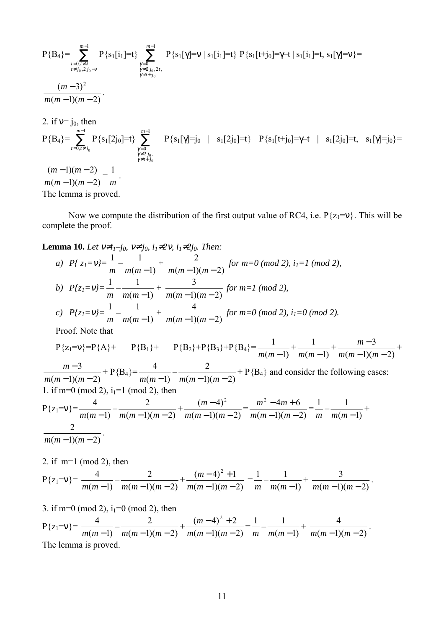$$
P{B_{4}} = \sum_{\substack{t=0, t \neq v \\ t \neq j_{0}, 2j_{0}-v \\ t \neq j_{0}, 2j_{0}-v}}^{m-1} P{s_{1}[i_{1}]=t} \sum_{\substack{\gamma=0 \\ \gamma \neq t \neq j_{0}, 2t, \\ \gamma \neq t+j_{0}}}^{m-1} P{s_{1}[i_{1}]=t} \sum_{\substack{\gamma=0 \\ \gamma \neq t \neq j_{0}, 2t, \\ \gamma \neq t+j_{0}}}^{m-1} P{s_{1}[i_{1}]=t} \sum_{\substack{\gamma \neq t \neq j_{0}, \\ \gamma \neq t+j_{0}}}^{m-1} P{s_{1}[i_{1}]=t} \sum_{\substack{\gamma=0 \\ \gamma \neq 2j_{0}, \\ \gamma \neq t+j_{0}}}^{m-1} P{s_{1}[i_{1}]=t} \sum_{\substack{\gamma=0 \\ \gamma \neq 2j_{0}, \\ \gamma \neq t+j_{0}}}^{m-1} P{s_{1}[i_{1}]=t} \sum_{\substack{\gamma=0 \\ \gamma \neq 2j_{0}, \\ \gamma \neq t+j_{0}}}^{m-1} P{s_{1}[i_{1}]=t} \sum_{\substack{\gamma=0 \\ \gamma \neq 2j_{0}, \\ \gamma \neq t+j_{0}}}^{m-1} P{s_{1}[i_{1}]=t} \sum_{\substack{\gamma=0 \\ \gamma \neq t+j_{0}, \\ \gamma \neq t+j_{0}}}^{m-1} P{s_{1}[i_{1}]=t} \sum_{\substack{\gamma=0 \\ \gamma \neq t+j_{0}}}^{m-1} P{s_{1}[i_{1}]=t} \sum_{\substack{\gamma=0 \\ \gamma \neq t+j_{0}}}^{m-1} P{s_{1}[i_{1}]=t} \sum_{\substack{\gamma=0 \\ \gamma \neq t+j_{0}}}^{m-1} P{s_{1}[i_{1}]=t} \sum_{\gamma=0}^{m-1} P{s_{1}[i_{1}]=t} \sum_{\gamma=0}^{m-1} P{s_{1}[i_{1}]=t} \sum_{\gamma \neq t+j_{0}}^{m-1} P{s_{1}[i_{1}]=t} \sum_{\gamma=0}^{m-1} P{s_{1}[i_{1}]=t} \sum_{\gamma \neq t+j_{0}}^{m-1} P{s_{1}[i_{1}]=t} \sum_{\gamma \neq t+j_{0}}^{m-1} P{s_{1}[i_{1}]=t
$$

Now we compute the distribution of the first output value of RC4, i.e.  $P\{z_1=v\}$ . This will be complete the proof.

**Lemma 10.** *Let*  $v \neq i_1-j_0$ ,  $v \neq j_0$ ,  $i_1 \neq 2v$ ,  $i_1 \neq 2j_0$ . *Then:* 

a) 
$$
P\{z_1 = v\} = \frac{1}{m} - \frac{1}{m(m-1)} + \frac{2}{m(m-1)(m-2)}
$$
 for  $m=0 \pmod{2}$ ,  $i_1 = 1 \pmod{2}$ ,  
\nb)  $P\{z_1 = v\} = \frac{1}{m} - \frac{1}{m(m-1)} + \frac{3}{m(m-1)(m-2)}$  for  $m=1 \pmod{2}$ ,  
\nc)  $P\{z_1 = v\} = \frac{1}{m} - \frac{1}{m(m-1)} + \frac{4}{m(m-1)(m-2)}$  for  $m=0 \pmod{2}$ ,  $i_1 = 0 \pmod{2}$ .  
\nProof. Note that

$$
P\{z_1=v\}=P\{A\}+\ P\{B_1\}+\ P\{B_2\}+P\{B_3\}+P\{B_4\}=\frac{1}{m(m-1)}+\frac{1}{m(m-1)}+\frac{m-3}{m(m-1)(m-2)}+
$$

 $(m-1)(m-2)$ 3  $-1)(m -$ −  $\frac{m-3}{m(m-1)(m-2)}$  + P{B<sub>4</sub>} =  $\frac{4}{m(m-1)} - \frac{2}{m(m-1)(m-2)}$  + P{B<sub>4</sub>}</sub> and consider the following cases: 1. if m=0 (mod 2),  $i_1$ =1 (mod 2), then

$$
P\{z_1 = v\} = \frac{4}{m(m-1)} - \frac{2}{m(m-1)(m-2)} + \frac{(m-4)^2}{m(m-1)(m-2)} = \frac{m^2 - 4m + 6}{m(m-1)(m-2)} = \frac{1}{m} - \frac{1}{m(m-1)} + \frac{2}{m(m-1)(m-2)}.
$$

2. if m=1 (mod 2), then  
\n
$$
P\{z_1=v\} = \frac{4}{m(m-1)} - \frac{2}{m(m-1)(m-2)} + \frac{(m-4)^2 + 1}{m(m-1)(m-2)} = \frac{1}{m} - \frac{1}{m(m-1)} + \frac{3}{m(m-1)(m-2)}.
$$

3. if m=0 (mod 2),  $i_1$ =0 (mod 2), then  $P\{z_1=v\} = \frac{4}{m(m-1)} - \frac{2}{m(m-1)(m-2)} + \frac{(m-4)^2+2}{m(m-1)(m-2)}$  $(m-4)^2 + 2$  $-1)(m (-4)^{2} +$  $\frac{(m-4)^2+2}{m(m-1)(m-2)} = \frac{1}{m} - \frac{1}{m(m-1)} + \frac{4}{m(m-1)(m-2)}$  $\frac{4}{m(m-1)(m-2)}$ . The lemma is proved.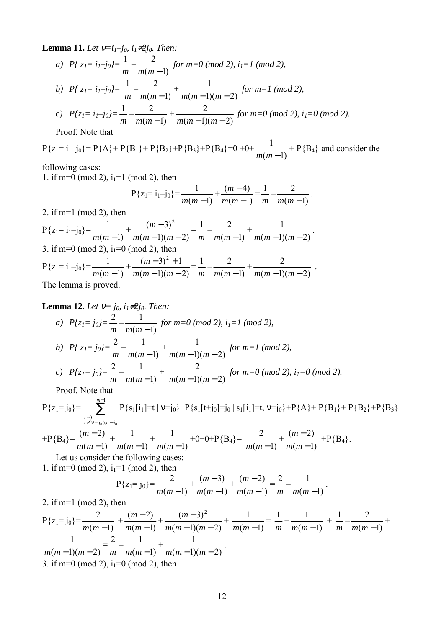**Lemma 11.** *Let*  $v=i_1-j_0$ ,  $i_1\neq 2j_0$ . *Then:* 

a) 
$$
P\{z_1=i_1-j_0\}=\frac{1}{m}-\frac{2}{m(m-1)}
$$
 for  $m=0 \pmod{2}$ ,  $i_1=1 \pmod{2}$ ,

b) 
$$
P\{z_1 = i_1 - j_0\} = \frac{1}{m} - \frac{2}{m(m-1)} + \frac{1}{m(m-1)(m-2)}
$$
 for  $m = 1 \pmod{2}$ ,

c) 
$$
P\{z_i = i_1 - j_0\} = \frac{1}{m} - \frac{2}{m(m-1)} + \frac{2}{m(m-1)(m-2)}
$$
 for  $m = 0 \pmod{2}$ ,  $i_1 = 0 \pmod{2}$ .

Proof. Note that

 $P{z_1 = i_1 - j_0} = P{A} + P{B_1} + P{B_2} + P{B_3} + P{B_4} = 0 + 0 + \frac{1}{m(m-1)} + P{B_4}$  and consider the

following cases:

1. if m=0 (mod 2),  $i_1$ =1 (mod 2), then

$$
P\{z_1 = i_1 - j_0\} = \frac{1}{m(m-1)} + \frac{(m-4)}{m(m-1)} = \frac{1}{m} - \frac{2}{m(m-1)}.
$$

2. if m=1 (mod 2), then

 $P\{z_1 = i_1 - j_0\} = \frac{1}{m(m-1)} + \frac{(m-3)^2}{m(m-1)(m-2)}$  $(m-3)^2$  $-1)(m -$ −  $\frac{(m-3)^2}{m(m-1)(m-2)} = \frac{1}{m} - \frac{2}{m(m-1)} + \frac{1}{m(m-1)(m-2)}$  $\frac{1}{m(m-1)(m-2)}$ . 3. if m=0 (mod 2),  $i_1$ =0 (mod 2), then  $P\{z_1 = i_1 - j_0\} = \frac{1}{m(m-1)} + \frac{(m-3)^2 + 1}{m(m-1)(m-2)}$  $(m-3)^2 + 1$  $-1)(m (-3)^{2} +$  $\frac{(m-3)^2+1}{m(m-1)(m-2)} = \frac{1}{m} - \frac{2}{m(m-1)} + \frac{2}{m(m-1)(m-2)}$  $\frac{2}{m(m-1)(m-2)}$ . The lemma is proved.

**Lemma 12***. Let*  $v = j_0$ *, i<sub>1</sub>≠2j<sub>0</sub><i>. Then*:

a) 
$$
P\{z_i = j_0\} = \frac{2}{m} - \frac{1}{m(m-1)}
$$
 for  $m=0 \pmod{2}$ ,  $i_i = 1 \pmod{2}$ ,  
\nb)  $P\{z_i = j_0\} = \frac{2}{m} - \frac{1}{m(m-1)} + \frac{1}{m(m-1)(m-2)}$  for  $m=1 \pmod{2}$ ,  
\nc)  $P\{z_i = j_0\} = \frac{2}{m} - \frac{1}{m(m-1)} + \frac{2}{m(m-1)(m-2)}$  for  $m=0 \pmod{2}$ ,  $i_i = 0 \pmod{2}$ .

Proof. Note that

$$
P\{z_1 = j_0\} = \sum_{\substack{t=0 \ t \neq (v=j_0), i_1=j_0}}^{m-1} P\{s_1[i_1] = t \mid v=j_0\} \quad P\{s_1[t+j_0] = j_0 \mid s_1[i_1] = t, v=j_0\} + P\{A\} + P\{B_1\} + P\{B_2\} + P\{B_3\}
$$

$$
+P\{B_4\} = \frac{(m-2)}{m(m-1)} + \frac{1}{m(m-1)} + \frac{1}{m(m-1)} + 0 + 0 + P\{B_4\} = \frac{2}{m(m-1)} + \frac{(m-2)}{m(m-1)} + P\{B_4\}.
$$

Let us consider the following cases: 1. if m=0 (mod 2),  $i_1$ =1 (mod 2), then

$$
P\{z_1 = j_0\} = \frac{2}{m(m-1)} + \frac{(m-3)}{m(m-1)} + \frac{(m-2)}{m(m-1)} = \frac{2}{m} - \frac{1}{m(m-1)}.
$$

2. if m=1 (mod 2), then

$$
P\{z_1 = j_0\} = \frac{2}{m(m-1)} + \frac{(m-2)}{m(m-1)} + \frac{(m-3)^2}{m(m-1)(m-2)} + \frac{1}{m(m-1)} = \frac{1}{m} + \frac{1}{m(m-1)} + \frac{1}{m} - \frac{2}{m(m-1)}
$$
  

$$
\frac{1}{m(m-1)(m-2)} = \frac{2}{m} - \frac{1}{m(m-1)} + \frac{1}{m(m-1)(m-2)}.
$$
  
3. if m=0 (mod 2), i<sub>1</sub>=0 (mod 2), then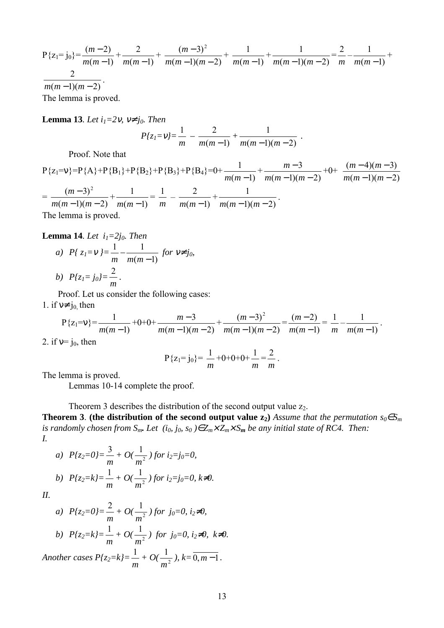$$
P\{z_1 = j_0\} = \frac{(m-2)}{m(m-1)} + \frac{2}{m(m-1)} + \frac{(m-3)^2}{m(m-1)(m-2)} + \frac{1}{m(m-1)} + \frac{1}{m(m-1)(m-2)} = \frac{2}{m} - \frac{1}{m(m-1)}
$$
  

$$
\frac{2}{m(m-1)(m-2)}
$$
  
The lemma is proved.

**Lemma 13***. Let*  $i_1=2v$ *,*  $v \neq j_0$ *. Then* 

$$
P\{z_1 = v\} = \frac{1}{m} - \frac{2}{m(m-1)} + \frac{1}{m(m-1)(m-2)}.
$$

Proof. Note that

 $P\{z_1=v\} = P\{A\} + P\{B_1\} + P\{B_2\} + P\{B_3\} + P\{B_4\} = 0 + \frac{1}{m(m-1)} + \frac{m-3}{m(m-1)(m-2)}$ 3  $-1)(m -$ −  $m(m-1)(m)$  $\frac{m-3}{m}$  +0+  $(m-1)(m-2)$  $(m-4)(m-3)$  $-1)(m -4)(m$  $m(m-1)(m)$ *m m* =  $(m-1)(m-2)$  $(m-3)^2$  $-1)(m -$ −  $m(m-1)(m)$  $\frac{(m-3)^2}{(m+1)^2}$  $(m-1)$  $\frac{1}{m(m-1)} = \frac{1}{m} - \frac{2}{m(m-1)} + \frac{1}{m(m-1)(m-2)}$  $\frac{1}{m(m-1)(m-2)}$ .

The lemma is proved.

#### **Lemma 14***. Let*  $i_1=2j_0$ *. Then*

a) 
$$
P\{z_1 = v\} = \frac{1}{m} - \frac{1}{m(m-1)}
$$
 for  $v \neq j_0$ ,  
b)  $P\{z_1 = j_0\} = \frac{2}{m}$ .

Proof. Let us consider the following cases:

#### 1. if  $v \neq j_0$ , then

$$
P\{z_1 = v\} = \frac{1}{m(m-1)} + 0 + 0 + \frac{m-3}{m(m-1)(m-2)} + \frac{(m-3)^2}{m(m-1)(m-2)} = \frac{(m-2)}{m(m-1)} = \frac{1}{m} - \frac{1}{m(m-1)}.
$$

2. if  $v=j_0$ , then

$$
P\{z_1 = j_0\} = \frac{1}{m} + 0 + 0 + 0 + \frac{1}{m} = \frac{2}{m}.
$$

The lemma is proved.

Lemmas 10-14 complete the proof.

Theorem 3 describes the distribution of the second output value  $z_2$ .

**Theorem 3**. **(the distribution of the second output value**  $z_2$ **)** *Assume that the permutation*  $s_0 \in S_m$ *is randomly chosen from*  $S_m$ *. Let*  $(i_0, j_0, s_0) \in Z_m \times Z_m \times S_m$  be any initial state of RC4. Then: *I.* 

a) 
$$
P\{z_2=0\} = \frac{3}{m} + O(\frac{1}{m^2})
$$
 for  $i_2=j_0=0$ ,  
b)  $P\{z_2=k\} = \frac{1}{m} + O(\frac{1}{m^2})$  for  $i_2=j_0=0$ ,  $k \neq 0$ .

*II.* 

a) 
$$
P\{z_2=0\} = \frac{2}{m} + O(\frac{1}{m^2})
$$
 for  $j_0=0$ ,  $i_2\neq 0$ ,  
\nb)  $P\{z_2=k\} = \frac{1}{m} + O(\frac{1}{m^2})$  for  $j_0=0$ ,  $i_2\neq 0$ ,  $k\neq 0$ .

*Another cases P{z2=k}=*  $\frac{1}{m}$  + O( $\frac{1}{m^2}$ *m ), k=*0,*m* −1*.*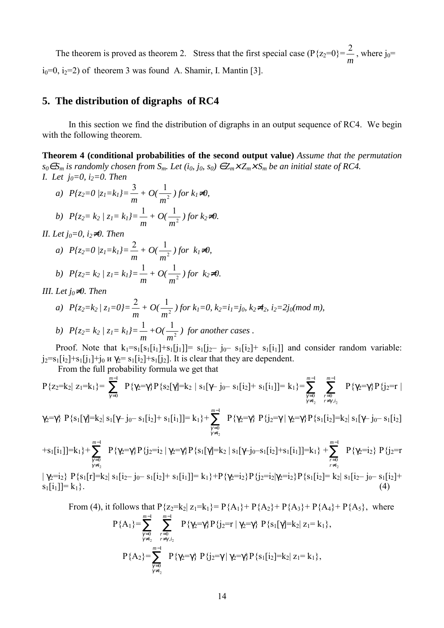The theorem is proved as theorem 2. Stress that the first special case ( $P\{z_2=0\}$ )= *m*  $\frac{2}{-}$ , where j<sub>0</sub>=  $i<sub>0</sub>=0$ ,  $i<sub>2</sub>=2$ ) of theorem 3 was found A. Shamir, I. Mantin [3].

## **5. The distribution of digraphs of RC4**

In this section we find the distribution of digraphs in an output sequence of RC4. We begin with the following theorem.

**Theorem 4 (conditional probabilities of the second output value)** *Assume that the permutation s*<sub>0</sub>∈*S<sub>m</sub>* is randomly chosen from *S<sub>m</sub>*. Let (i<sub>0</sub>, j<sub>0</sub>, s<sub>0</sub>) ∈  $Z_m \times Z_m \times S_m$  be an initial state of RC4. *I. Let*  $j_0=0$ ,  $i_2=0$ . Then

a) 
$$
P\{z_2=0 | z_1=k_1\} = \frac{3}{m} + O(\frac{1}{m^2})
$$
 for  $k_1 \neq 0$ ,  
b)  $P\{z_2=k_2 | z_1=k_1\} = \frac{1}{m} + O(\frac{1}{m^2})$  for  $k_2 \neq 0$ .

b) 
$$
P\{z_2 = k_2 \mid z_1 = k_1\} = \frac{1}{m} + O\left(\frac{1}{m^2}\right)
$$

*II. Let*  $j_0=0$ ,  $i_2\neq 0$ . *Then* 

a) 
$$
P\{z_2=0 | z_1=k_1\} = \frac{2}{m} + O(\frac{1}{m^2})
$$
 for  $k_1 \neq 0$ ,  
b)  $P\{z_2=k_2 | z_1=k_1\} = \frac{1}{m} + O(\frac{1}{m^2})$  for  $k_2 \neq 0$ .

*III.* Let  $j_0 \neq 0$ . Then

a) 
$$
P\{z_2 = k_2 / z_1 = 0\} = \frac{2}{m} + O(\frac{1}{m^2})
$$
 for  $k_1 = 0$ ,  $k_2 = i_1 = j_0$ ,  $k_2 \neq i_2$ ,  $i_2 = 2j_0 \pmod{m}$ ,  
\nb)  $P\{z_2 = k_2 / z_1 = k_1\} = \frac{1}{m} + O(\frac{1}{m^2})$  for another cases.

Proof. Note that  $k_1=s_1[s_1[i_1]+s_1[j_1]]= s_1[j_2-j_0-s_1[i_2]+s_1[i_1]]$  and consider random variable:  $j_2=s_1[i_2]+s_1[j_1]+j_0$   $\mu \gamma_2=s_1[i_2]+s_1[j_2]$ . It is clear that they are dependent.

From the full probability formula we get that

$$
P\{z_2=k_2|\ z_1=k_1\}=\sum_{\gamma=0}^{m-1}\ P\{\gamma_2=\gamma\}P\{s_2[\gamma]=k_2\ |\ s_1[\gamma-j_0-s_1[i_2]+s_1[i_1]]=k_1\}=\sum_{\gamma=0\atop{\gamma\neq i_2}}^{m-1}\ \ \sum_{\gamma=0\atop{\gamma\neq i_2}}^{m-1}\ P\{\gamma_2=\gamma\}P\{j_2=r\ |\ s_1=j_2\}
$$

$$
\gamma_2 = \gamma \} P\{s_1[\gamma] = k_2 | s_1[\gamma - j_0 - s_1[i_2] + s_1[i_1]] = k_1\} + \sum_{\substack{\gamma = 0 \\ \gamma \neq i_2}}^{m-1} P\{\gamma_2 = \gamma\} P\{j_2 = \gamma | \gamma_2 = \gamma\} P\{s_1[i_2] = k_2 | s_1[\gamma - j_0 - s_1[i_2]] = k_2\}
$$

$$
+s_{1}[i_{1}]]=k_{1}\}+\sum_{\substack{\gamma=0\\ \gamma\neq i_{2}}}^{m-1}P\{\gamma_{2}=\gamma\}P\{j_{2}=i_{2}\mid \gamma_{2}=\gamma\}P\{s_{1}[\gamma]=k_{2}\mid s_{1}[\gamma-j_{0}-s_{1}[i_{2}]+s_{1}[i_{1}]]=k_{1}\}+\sum_{\substack{r=0\\ r\neq i_{2}}}^{m-1}P\{\gamma_{2}=i_{2}\}P\{j_{2}=r_{1}\mid r\neq i_{2}\}
$$

 $|\gamma_2=i_2\rangle P{s_1[r]}=k_2|s_1[i_2-j_0-s_1[i_2]+s_1[i_1]]=k_1\rangle+P{\gamma_2=i_2}P{\{j_2=i_2|\gamma_2=i_2\rangle}P{\{s_1[i_2]=k_2|s_1[i_2-j_0-s_1[i_2]]+k_1=i_2\}}$  $s_1[i_1] = k_1$  (4)

From (4), it follows that 
$$
P\{z_2=k_2|z_1=k_1\}=P\{A_1\}+P\{A_2\}+P\{A_3\}+P\{A_4\}+P\{A_5\}
$$
, where  
\n
$$
P\{A_1\}=\sum_{\substack{\gamma=0 \ \gamma \neq i_2}}^{\gamma=1} \sum_{\substack{r=0 \ r \neq \gamma, i_2}}^{\gamma=1} P\{\gamma_2=\gamma\} P\{j_2=r | \gamma_2=\gamma\} P\{s_1[\gamma]=k_2 | z_1=k_1\},
$$
\n
$$
P\{A_2\}=\sum_{\substack{\gamma=0 \ \gamma \neq i_2}}^{\gamma=1} P\{\gamma_2=\gamma\} P\{j_2=\gamma | \gamma_2=\gamma\} P\{s_1[i_2]=k_2 | z_1=k_1\},
$$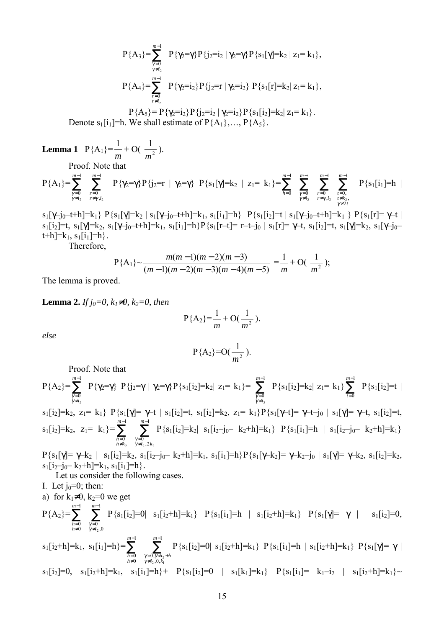$$
P\{A_{3}\} = \sum_{\substack{\gamma=0 \ \gamma \neq i_{2}}}^{\infty} P\{\gamma_{2} = \gamma\} P\{j_{2} = i_{2} | \gamma_{2} = \gamma\} P\{s_{1}[\gamma] = k_{2} | z_{1} = k_{1}\},
$$
\n
$$
P\{A_{4}\} = \sum_{\substack{r=0 \ r \neq i_{2}}}^{\infty} P\{\gamma_{2} = i_{2}\} P\{j_{2} = r | \gamma_{2} = i_{2}\} P\{s_{1}[r] = k_{2} | z_{1} = k_{1}\},
$$
\n
$$
P\{A_{4}\} = P\{s_{4} = i_{3} | P\{i_{2} = i_{4} | \gamma \neq i_{2}\} P\{s_{1}[r] = k_{2} | z_{2} = k_{1}\}
$$

 $P{A_5} = P{\gamma_2=1_2}P{\gamma_2=1_2 |\gamma_2=1_2}P{\varsigma_1[1_2]=k_2|Z_1=k_1}.$ Denote s<sub>1</sub>[i<sub>1</sub>]=h. We shall estimate of  $P{A_1},..., P{A_5}.$ 

**Lemma 1**  $P{A_1}$  $\frac{1}{m}$  + O( $\frac{1}{m^2}$ *m* ). Proof. Note that − 1 *m* − 1 *m m*

$$
P\{A_1\} = \sum_{\substack{\gamma=0 \ \gamma \neq i_2}}^{m-1} \sum_{\substack{r=0 \ r \neq \gamma, i_2}}^{m-1} P\{\gamma_2 = \gamma\} P\{j_2 = r | \gamma_2 = \gamma\} P\{s_1[\gamma] = k_2 | z_1 = k_1\} = \sum_{h=0}^{m-1} \sum_{\substack{\gamma=0 \ \gamma \neq i_2}}^{m-1} \sum_{\substack{r=0 \ r \neq \gamma, i_2}}^{m-1} \sum_{\substack{r=0 \ \gamma \neq i_2}}^{m-1} P\{s_1[i_1] = h | \gamma \} P\{s_2 = k_1, s_3 = k_2\}
$$

 $s_1[\gamma-j_0-t+h]=k_1$ }  $P\{s_1[\gamma]=k_2 \mid s_1[\gamma-j_0-t+h]=k_1, s_1[i_1]=h\}$   $P\{s_1[i_2]=t \mid s_1[\gamma-j_0-t+h]=k_1 \}$   $P\{s_1[r]=\gamma-t \mid s_2=r\}$  $s_1[i_2]=t$ ,  $s_1[\gamma]=k_2$ ,  $s_1[\gamma-j_0-t+h]=k_1$ ,  $s_1[i_1]=h$ } $P{s_1[r-t]}= r-t-j_0 | s_1[r]= \gamma-t$ ,  $s_1[i_2]=t$ ,  $s_1[\gamma]=k_2$ ,  $s_1[\gamma-j_0-t]$  $[t+h]=k_1, s_1[i_1]=h$ . Therefore,

$$
P{A1} \sim \frac{m(m-1)(m-2)(m-3)}{(m-1)(m-2)(m-3)(m-4)(m-5)} = \frac{1}{m} + O(\frac{1}{m^2});
$$

The lemma is proved.

**Lemma 2.** *If j<sub>0</sub>=0, k<sub>1</sub>≠0, k<sub>2</sub>=0, then* 

$$
P{A_2} = \frac{1}{m} + O(\frac{1}{m^2}).
$$

*else* 

$$
P{A_2}=O(\frac{1}{m^2}).
$$

Proof. Note that

$$
P\{A_{2}\} = \sum_{\substack{\gamma=0 \ \gamma \neq i_{2}}}^{m-1} P\{\gamma_{2} = \gamma\} P\{j_{2} = \gamma \mid \gamma_{2} = \gamma\} P\{s_{1}[i_{2}] = k_{2} \mid z_{1} = k_{1}\} = \sum_{\substack{\gamma=0 \ \gamma \neq i_{2}}}^{m-1} P\{s_{1}[i_{2}] = k_{2} \mid z_{1} = k_{1}\} \sum_{\substack{\gamma=0 \ \gamma \neq i_{2}}}^{m-1} P\{s_{1}[i_{2}] = k_{1}\} P\{s_{1}[i_{2}] = k_{2}, z_{1} = k_{1}\} P\{s_{1}[i_{2}] = k_{2}, z_{1} = k_{1}\} P\{s_{1}[i_{2}] = k_{2}, z_{1} = k_{1}\} P\{s_{1}[i_{2}] = k_{2}, z_{1} = k_{1}\} P\{s_{1}[i_{2}] = k_{2}, z_{1} = k_{1}\} = \sum_{\substack{\gamma=0 \ \gamma \neq i_{2}}}^{m-1} P\{s_{1}[i_{2}] = k_{2} \mid s_{1}[i_{2} = j_{0} = k_{2} + h] = k_{1}\} P\{s_{1}[i_{1}] = h \mid s_{1}[i_{2} = j_{0} = k_{2} + h] = k_{1}\}
$$

 $P{s_1[\gamma]} = \gamma - k_2$  |  $s_1[i_2] = k_2$ ,  $s_1[i_2 - j_0 - k_2 + h] = k_1$ ,  $s_1[i_1] = h$ } $P{s_1[\gamma - k_2]} = \gamma - k_2 - j_0$  |  $s_1[\gamma] = \gamma - k_2$ ,  $s_1[i_2] = k_2$ ,  $s_1[i_2-j_0-k_2+h]=k_1, s_1[i_1]=h$ .

Let us consider the following cases.

I. Let  $j_0=0$ ; then:

a) for  $k_1\neq 0$ ,  $k_2=0$  we get

$$
P\{A_2\} = \sum_{\substack{h=0 \ h \neq 0}}^{m-1} \sum_{\substack{\gamma=0 \ \gamma \neq i_2,0}}^{m-1} P\{s_1[i_2]=0 \mid s_1[i_2+h]=k_1\} \quad P\{s_1[i_1]=h \mid s_1[i_2+h]=k_1\} \quad P\{s_1[\gamma]=\gamma \mid s_1[i_2]=0,
$$

 $s_1[i_2+h]=k_1, s_1[i_1]=h$ } =  $\sum_{ }^{m-1}$ ≠ = 1 0 0 *m*  $\sum_{h=0}^{m-1}$ <sub>*h*=0</sub>  $\sum_{\substack{\gamma=0,\gamma\neq i,\\gamma\neq i, \text{ }0,k}}^{m-1}$  $= 0, γ \neq i_2 +$ <br>≠*i*, ,0,*k*<sub>1</sub> 1  $\begin{array}{c} 0, \gamma \neq \\ i, 0, \end{array}$  $2^{j}$ ,  $7 \neq i_2$ <br> $2^{j}$ ,  $0, k_1$ *m*  $\gamma=0, \gamma\neq i_2+h$ <br>  $\gamma\neq i_2, 0, k_1$ P{s<sub>1</sub>[i<sub>2</sub>]=0| s<sub>1</sub>[i<sub>2</sub>+h]=k<sub>1</sub>} P{s<sub>1</sub>[i<sub>1</sub>]=h | s<sub>1</sub>[i<sub>2</sub>+h]=k<sub>1</sub>} P{s<sub>1</sub>[γ]= γ |  $s_1[i_2]=0$ ,  $s_1[i_2+h]=k_1$ ,  $s_1[i_1]=h$ }  $+$   $P{s_1[i_2]}=0$  |  $s_1[k_1]=k_1$ }  $P{s_1[i_1]}=$   $k_1-i_2$  |  $s_1[i_2+h]=k_1$ } ~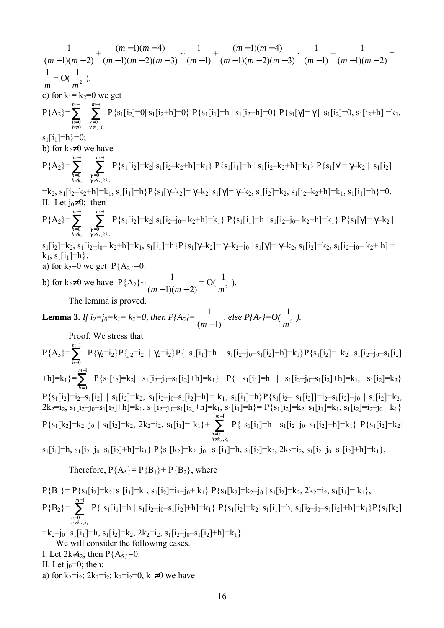( 1)( 2) 1 *<sup>m</sup>* <sup>−</sup> *<sup>m</sup>* <sup>−</sup> <sup>+</sup> ( 1)( 2)( 3) ( 1)( 4) − − − − − *m m m <sup>m</sup> <sup>m</sup>* <sup>~</sup> ( 1) 1 *<sup>m</sup>* <sup>−</sup> <sup>+</sup> ( 1)( 2)( 3) ( 1)( 4) − − − − − *m m m <sup>m</sup> <sup>m</sup>* <sup>~</sup> ( 1) 1 *<sup>m</sup>* <sup>−</sup> <sup>+</sup> ( 1)( 2) 1 *<sup>m</sup>* <sup>−</sup> *<sup>m</sup>* <sup>−</sup> <sup>=</sup> *m* <sup>1</sup> + O( <sup>2</sup> 1 *m* ). c) for k1= k2=0 we get P{A2}=∑ − ≠ = 1 0 0 *m h h* ∑ − ≠ = 1 ,0 0 *m* γ *i* γ P{s1[i2]=0| s1[i2+h]=0} P{s1[i1]=h | s1[i2+h]=0} P{s1[γ]= γ | s1[i2]=0, s1[i2+h] =k1, s1[i1]=h}=0; b) for k2≠0 we have P{A2}= ∑ − ≠ = 1 0 2 *m h k h* ∑ − ≠ = 1 ,2 0 2 2 *m* γ *i k* γ P{s1[i2]=k2| s1[i2ñk2+h]=k1} P{s1[i1]=h | s1[i2ñk2+h]=k1} P{s1[γ]= γñk2 | s1[i2] =k2, s1[i2ñk2+h]=k1, s1[i1]=h}P{s1[γñk2]= γñk2| s1[γ]= γñk2, s1[i2]=k2, s1[i2ñk2+h]=k1, s1[i1]=h}=0. II. Let j0≠0; then P{A2}= ∑ − ≠ = 1 0 2 *m h k h* ∑ − ≠ = 1 ,2 0 2 2 *m* γ *i k* γ P{s1[i2]=k2| s1[i2ñj0ñ k2+h]=k1} P{s1[i1]=h | s1[i2ñj0ñ k2+h]=k1} P{s1[γ]= γñk2 | s1[i2]=k2, s1[i2ñj0ñ k2+h]=k1, s1[i1]=h}P{s1[γñk2]= γñk2ñj0 | s1[γ]= γñk2, s1[i2]=k2, s1[i2ñj0ñ k2+ h] = k1, s1[i1]=h}. a) for k2=0 we get P{A2}=0. b) for k2≠0 we have P{A2}~ ( 1)( 2) 1 *<sup>m</sup>* <sup>−</sup> *<sup>m</sup>* <sup>−</sup> = O( <sup>2</sup> 1 *m* ). The lemma is proved. **Lemma 3.** *If i2=j0=k1= k2=0, then P{A5}=* ( 1) 1 *<sup>m</sup>* <sup>−</sup> *, else P{A5}=O(* <sup>2</sup> 1 *m ).*  Proof. We stress that P{A5}=∑ − = 1 0 *m h* P{γ2=i2}P{j2=i2 | γ2=i2}P{ s1[i1]=h | s1[i2ñj0ñs1[i2]+h]=k1}P{s1[i2]= k2| s1[i2ñj0ñs1[i2] +h]=k1}=∑ − = 1 0 *m h* P{s1[i2]=k2| s1[i2ñj0ñs1[i2]+h]=k1} P{ s1[i1]=h | s1[i2ñj0ñs1[i2]+h]=k1, s1[i2]=k2} P{s1[i2]=i2ñs1[i2] | s1[i2]=k2, s1[i2ñj0ñs1[i2]+h]= k1, s1[i1]=h}P{s1[i2ñ s1[i2]]=i2ñs1[i2]ñj0 | s1[i2]=k2, 2k2=i2, s1[i2ñj0ñs1[i2]+h]=k1, s1[i2ñj0ñs1[i2]+h]=k1, s1[i1]=h}= P{s1[i2]=k2| s1[i1]=k1, s1[i2]=i2ñj0+ k1} P{s1[k2]=k2ñj0 | s1[i2]=k2, 2k2=i2, s1[i1]= k1}+ ∑ − ≠ = 1 , 0 2 1 *m h k k h* P{ s1[i1]=h | s1[i2ñj0ñs1[i2]+h]=k1} P{s1[i2]=k2| s1[i1]=h, s1[i2ñj0ñs1[i2]+h]=k1} P{s1[k2]=k2ñj0 | s1[i1]=h, s1[i2]=k2, 2k2=i2, s1[i2ñj0ñs1[i2]+h]=k1}. Therefore, P{A5}= P{B1}+ P{B2}, where

 $P{B_1}= P{s_1[i_2]}=k_2 |s_1[i_1]}=k_1, s_1[i_2]=i_2-j_0+k_1$   $P{s_1[k_2]}=k_2-j_0 |s_1[i_2]=k_2, 2k_2=i_2, s_1[i_1]=k_1$ ,  $P{B_2} = \sum^{m-1}$ ≠ = 1  $\frac{0}{k_2}$  $2,$ <sup> $\kappa$ </sup>1 *m h*=0<br>*h≠k*<sub>2</sub>,*k*  $P\{\ s_1[i_1]=h \mid s_1[i_2-j_0-s_1[i_2]+h]=k_1\} \; P\{s_1[i_2]=k_2 \mid s_1[i_1]=h, \; s_1[i_2-j_0-s_1[i_2]+h]=k_1\} P\{s_1[k_2]=h, \; s_1[i_2-j_0-s_1[i_2]+h]=k_2\}$  $=k_2-j_0 | s_1[i_1]=h, s_1[i_2]=k_2, 2k_2=i_2, s_1[i_2-j_0-s_1[i_2]+h]=k_1$ . We will consider the following cases. I. Let  $2k\neq i_2$ ; then  $P{A_5}=0$ . II. Let  $j_0=0$ ; then: a) for  $k_2=i_2$ ;  $2k_2=i_2$ ;  $k_2=i_2=0$ ,  $k_1\neq 0$  we have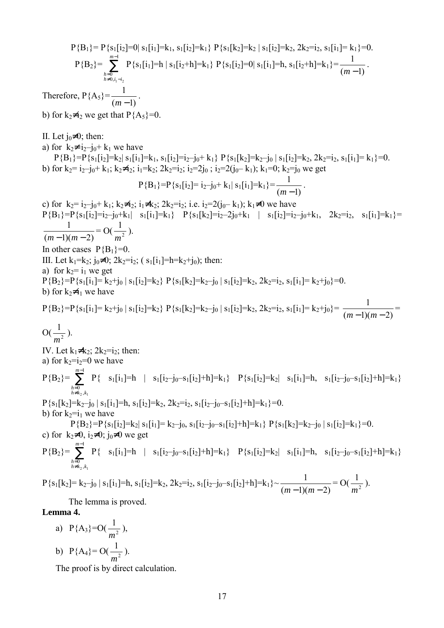$P{B_1}= P{s_1[i_2]}=0|s_1[i_1]=k_1, s_1[i_2]=k_1| P{s_1[k_2]}=k_2 |s_1[i_2]=k_2, 2k_2=i_2, s_1[i_1]=k_1}=0.$  $P{B_2} = \sum^{m-1}$  $=0$ <br> $\neq 0, i_1 -$ 1  $\begin{matrix} 0 \\ 0, \end{matrix}$  $1 - i_2$ *m*  $\sum_{h=0 \ h \neq 0, i_1-i_2}^{m-1} P\{s_1[i_1]=h | s_1[i_2+h]=k_1\} P\{s_1[i_2]=0 | s_1[i_1]=h, s_1[i_2+h]=k_1\} = \frac{1}{(m-1)}$ . Therefore,  $P{A_5} = \frac{1}{(m-1)}$ . b) for  $k_2 \neq i_2$  we get that  $P{A_5}=0$ . II. Let  $j_0\neq 0$ ; then: a) for  $k_2 \neq i_2 - j_0 + k_1$  we have  $P{B_1}=P{s_1[i_2]=k_2|s_1[i_1]=k_1, s_1[i_2]=i_2-j_0+k_1} P{s_1[k_2]=k_2-j_0 |s_1[i_2]=k_2, 2k_2=i_2, s_1[i_1]=k_1}=0.$ b) for  $k_2 = i_2 - j_0 + k_1$ ;  $k_2 \neq i_2$ ;  $i_1 = k_2$ ;  $2k_2 = i_2$ ;  $i_2 = 2j_0$ ;  $i_2 = 2(j_0 - k_1)$ ;  $k_1 = 0$ ;  $k_2 = j_0$  we get  $P{B_1}=P{s_1[i_2]=i_2-j_0+k_1|s_1[i_1]=k_1} = \frac{1}{(m-1)}$ . c) for  $k_2 = i_2 - i_0 + k_1$ ;  $k_2 \neq i_2$ ;  $i_1 \neq k_2$ ;  $2k_2 = i_2$ ; i.e.  $i_2 = 2(i_0 - k_1)$ ;  $k_1 \neq 0$  we have  $P{B_1}=P{s_1[i_2]=i_2-j_0+k_1| s_1[i_1]=k_1}$   $P{s_1[k_2]=i_2-2j_0+k_1 | s_1[i_2]=i_2-j_0+k_1, 2k_2=i_2, s_1[i_1]=k_1}$  $(m-1)(m-2)$  $\frac{1}{(m-1)(m-2)} = O(\frac{1}{m^2})$ *m* ). In other cases  $P{B_1}=0$ . III. Let  $k_1=k_2$ ;  $j_0\neq 0$ ;  $2k_2=i_2$ ; ( $s_1[i_1]=h=k_2+i_0$ ); then: a) for  $k_2 = i_1$  we get  $P{B_2}=P{s_1[i_1]}=k_2+i_0 |s_1[i_2]}=k_2 P{s_1[k_2]}=k_2-i_0 |s_1[i_2]}=k_2, 2k_2=i_2, s_1[i_1]=k_2+i_0)=0.$ b) for  $k_2 \neq i_1$  we have  $P{B_2}=P{s_1[i_1]}=k_2+j_0 |s_1[i_2]=k_2} P{s_1[k_2]}=k_2-j_0 |s_1[i_2]=k_2, 2k_2=i_2, s_1[i_1]=k_2+j_0$ <br> $=\frac{1}{(m-1)(m-2)}=k_2+j_0$  $O(\frac{1}{m^2})$ *m* ). IV. Let  $k_1 \neq k_2$ ;  $2k_2=i_2$ ; then: a) for  $k_2=i_2=0$  we have  $P{B_2} = \sum^{m-1}$ ≠ = 1 , 0  $2, \kappa_1$ *m*  $h \neq k_2, k$ *h*  $P\{\ s_1[i_1]=h \mid s_1[i_2-j_0-s_1[i_2]+h]=k_1\} \quad P\{s_1[i_2]=k_2\mid s_1[i_1]=h, \quad s_1[i_2-j_0-s_1[i_2]+h]=k_1\}$  $P{s_1[k_2]=k_2-j_0 | s_1[i_1]=h, s_1[i_2]=k_2, 2k_2=i_2, s_1[i_2-j_0-s_1[i_2]+h]=k_1}=0.$ b) for  $k_2=i_1$  we have  $P{B_2}=P{s_1[i_2]}=k_2|s_1[i_1]=k_2-j_0, s_1[i_2-j_0-s_1[i_2]+h]=k_1\} P{s_1[k_2]}=k_2-j_0 |s_1[i_2]=k_1\}=0.$ c) for  $k_2\neq 0$ ,  $i_2\neq 0$ ;  $i_0\neq 0$  we get  $P{B_2} = \sum^{m-1}$ ≠ = 1  $\frac{0}{k_2}$  $2,$ <sup> $\kappa$ </sup>1 *m h*=0<br>*h≠k*<sub>2</sub>,*k*  $P\{\ s_1[i_1]=h \mid s_1[i_2-j_0-s_1[i_2]+h]=k_1\} \quad P\{s_1[i_2]=k_2\mid s_1[i_1]=h, \quad s_1[i_2-j_0-s_1[i_2]+h]=k_1\}$  $P\{s_1[k_2]=k_2-j_0 \mid s_1[i_1]=h, s_1[i_2]=k_2, 2k_2=i_2, s_1[i_2-j_0-s_1[i_2]+h]=k_1\} \sim \frac{1}{(m-1)(m-2)}=O(\frac{1}{m^2})$ *m* ). The lemma is proved. **Lemma 4.**  a)  $P{A_3} = O(\frac{1}{m^2})$ 

*m* ), b)  $P{A_4} = O(\frac{1}{m^2})$ *m* ).

The proof is by direct calculation.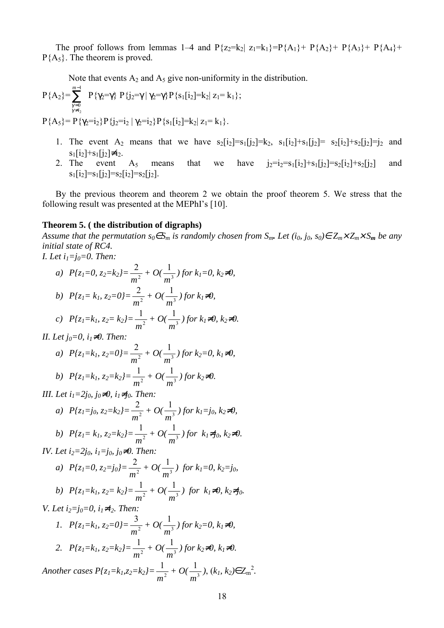The proof follows from lemmas 1–4 and  $P{z_2=k_2|z_1=k_1}=P{A_1}+P{A_2}+P{A_3}+P{A_4}+P{A_5}+P{A_6}+P{A_7}+P{A_8}+P{A_9}+P{A_1}+P{A_2}+P{A_4}+P{A_6}+P{A_7}+P{A_8}+P{A_7}+P{A_8}+P{A_9}+P{A_1}+P{A_1}+P{A_2}+P{A_4}+P{A_7}+P{A_8$  $P{A<sub>5</sub>}.$  The theorem is proved.

Note that events  $A_2$  and  $A_5$  give non-uniformity in the distribution.

$$
P\{A_2\} = \sum_{\substack{\gamma=0 \ \gamma \neq i_2}}^{m-1} P\{\gamma_2 = \gamma\} P\{j_2 = \gamma \mid \gamma_2 = \gamma\} P\{s_1[i_2] = k_2 \mid z_1 = k_1\};
$$

 $P{A_5} = P{\gamma_2=i_2}P{j_2=i_2 |\gamma_2=i_2}P{s_1[i_2]=k_2 | z_1=k_1}.$ 

- 1. The event A<sub>2</sub> means that we have  $s_2[i_2]=s_1[j_2]=k_2$ ,  $s_1[i_2]+s_1[j_2]=s_2[i_2]+s_2[j_2]=j_2$  and  $s_1[i_2]+s_1[j_2]\neq i_2$ .
- 2. The event  $A_5$  means that we have  $j_2=i_2=s_1[i_2]+s_1[j_2]=s_2[i_2]+s_2[j_2]$  and  $s_1[i_2]=s_1[i_2]=s_2[i_2]=s_2[i_2]$ .

By the previous theorem and theorem 2 we obtain the proof theorem 5. We stress that the following result was presented at the MEPhI's  $[10]$ .

#### **Theorem 5. ( the distribution of digraphs)**

*Assume that the permutation s<sub>0</sub>∈S<sub>m</sub> is randomly chosen from S<sub>m</sub>. Let (i<sub>0</sub>, j<sub>0</sub>, s<sub>0</sub>)∈*  $Z_m \times Z_m \times S_m$  *<i>be any initial state of RC4.* 

*I. Let i<sub>1</sub>*=*j*<sub>0</sub>=0. *Then*: *a*)  $P\{z_1=0, z_2=k_2\}=\frac{2}{m^2}$  $\frac{2}{m^2}$  + O( $\frac{1}{m^3}$ *m ) for k1=0, k2*≠*0,*  2 1

b) 
$$
P\{z_1 = k_1, z_2 = 0\} = \frac{2}{m^2} + O(\frac{1}{m^3})
$$
 for  $k_1 \neq 0$ ,  
c)  $P\{z_1 = k_1, z_2 = k_2\} = \frac{1}{m^2} + O(\frac{1}{m^3})$  for  $k_1 \neq 0$ ,  $k_2 \neq 0$ .

*II. Let j<sub>0</sub>=0, i<sub>1</sub>≠0. Then:* 

a) 
$$
P\{z_1=k_1, z_2=0\} = \frac{2}{m^2} + O(\frac{1}{m^3})
$$
 for  $k_2=0, k_1\neq0$ ,  
b)  $P\{z_1=k_1, z_2=k_2\} = \frac{1}{m^2} + O(\frac{1}{m^3})$  for  $k_2\neq0$ .

*III. Let i<sub>1</sub>=2j<sub>0</sub>, j<sub>0</sub>≠0, i<sub>1</sub>≠j<sub>0</sub>. Then:* 

a) 
$$
P\{z_1 = j_0, z_2 = k_2\} = \frac{2}{m^2} + O(\frac{1}{m^3})
$$
 for  $k_1 = j_0, k_2 \neq 0$ ,  
\nb)  $P\{z_1 = k_1, z_2 = k_2\} = \frac{1}{m^2} + O(\frac{1}{m^3})$  for  $k_1 \neq j_0, k_2 \neq 0$ .

*IV. Let i<sub>2</sub>=2j<sub>0</sub>, i<sub>1</sub>=j<sub>0</sub>, j<sub>0</sub>≠0. Then:* 

a) 
$$
P\{z_1=0, z_2=j_0\} = \frac{2}{m^2} + O(\frac{1}{m^3})
$$
 for  $k_1=0, k_2=j_0$ ,

b) 
$$
P\{z_1 = k_1, z_2 = k_2\} = \frac{1}{m^2} + O(\frac{1}{m^3})
$$
 for  $k_1 \neq 0, k_2 \neq j_0$ .

*V. Let i<sub>2</sub>=j<sub>0</sub>=0, i<sub>1</sub>≠i<sub>2</sub>. Then:* 3

1. 
$$
P\{z_1=k_1, z_2=0\} = \frac{3}{m^2} + O(\frac{1}{m^3})
$$
 for  $k_2=0, k_1 \neq 0$ ,  
2.  $P\{z_1=k_1, z_2=k_2\} = \frac{1}{m^2} + O(\frac{1}{m^3})$  for  $k_2 \neq 0, k_1 \neq 0$ .

*Another cases*  $P\{z_1 = k_1, z_2 = k_2\} = \frac{1}{m^2}$  $\frac{1}{m^2} + O(\frac{1}{m^3})$ *m ,*  $(k_1, k_2) \in Z_m^2$ *.*